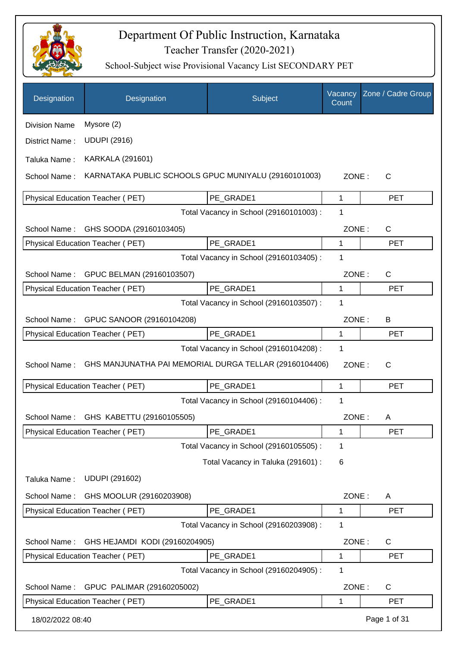

| Designation          | Designation                                            | Subject                                 | Vacancy<br>Count | Zone / Cadre Group |
|----------------------|--------------------------------------------------------|-----------------------------------------|------------------|--------------------|
| <b>Division Name</b> | Mysore (2)                                             |                                         |                  |                    |
| District Name:       | <b>UDUPI (2916)</b>                                    |                                         |                  |                    |
| Taluka Name:         | <b>KARKALA (291601)</b>                                |                                         |                  |                    |
| School Name:         | KARNATAKA PUBLIC SCHOOLS GPUC MUNIYALU (29160101003)   |                                         | ZONE:            | C                  |
|                      | <b>Physical Education Teacher (PET)</b>                | PE_GRADE1                               | 1                | <b>PET</b>         |
|                      |                                                        | Total Vacancy in School (29160101003) : | 1                |                    |
| School Name:         | GHS SOODA (29160103405)                                |                                         | ZONE:            | $\mathsf{C}$       |
|                      | <b>Physical Education Teacher (PET)</b>                | PE_GRADE1                               | 1                | <b>PET</b>         |
|                      |                                                        | Total Vacancy in School (29160103405) : | 1                |                    |
| School Name:         | GPUC BELMAN (29160103507)                              |                                         | ZONE:            | $\mathsf{C}$       |
|                      | <b>Physical Education Teacher (PET)</b>                | PE GRADE1                               | 1                | <b>PET</b>         |
|                      |                                                        | Total Vacancy in School (29160103507) : | 1                |                    |
|                      | School Name: GPUC SANOOR (29160104208)                 |                                         | ZONE:            | B                  |
|                      | Physical Education Teacher (PET)                       | PE_GRADE1                               | 1                | <b>PET</b>         |
|                      |                                                        | Total Vacancy in School (29160104208) : | 1                |                    |
| School Name:         | GHS MANJUNATHA PAI MEMORIAL DURGA TELLAR (29160104406) |                                         | ZONE:            | $\mathsf{C}$       |
|                      | Physical Education Teacher (PET)                       | PE GRADE1                               | 1                | <b>PET</b>         |
|                      |                                                        | Total Vacancy in School (29160104406) : | 1                |                    |
|                      | School Name: GHS KABETTU (29160105505)                 |                                         | ZONE:            | A                  |
|                      | <b>Physical Education Teacher (PET)</b>                | PE_GRADE1                               | 1                | <b>PET</b>         |
|                      |                                                        | Total Vacancy in School (29160105505) : | 1                |                    |
|                      |                                                        | Total Vacancy in Taluka (291601) :      | 6                |                    |
| Taluka Name:         | <b>UDUPI (291602)</b>                                  |                                         |                  |                    |
| School Name:         | GHS MOOLUR (29160203908)                               |                                         | ZONE:            | A                  |
|                      | Physical Education Teacher (PET)                       | PE_GRADE1                               | 1                | <b>PET</b>         |
|                      |                                                        | Total Vacancy in School (29160203908) : | 1                |                    |
| School Name:         | GHS HEJAMDI KODI (29160204905)                         |                                         | ZONE:            | C                  |
|                      | Physical Education Teacher (PET)                       | PE_GRADE1                               | 1                | <b>PET</b>         |
|                      |                                                        | Total Vacancy in School (29160204905) : | 1                |                    |
| School Name:         | GPUC PALIMAR (29160205002)                             |                                         | ZONE:            | $\mathsf{C}$       |
|                      | Physical Education Teacher (PET)                       | PE_GRADE1                               | 1                | <b>PET</b>         |
| 18/02/2022 08:40     |                                                        |                                         |                  | Page 1 of 31       |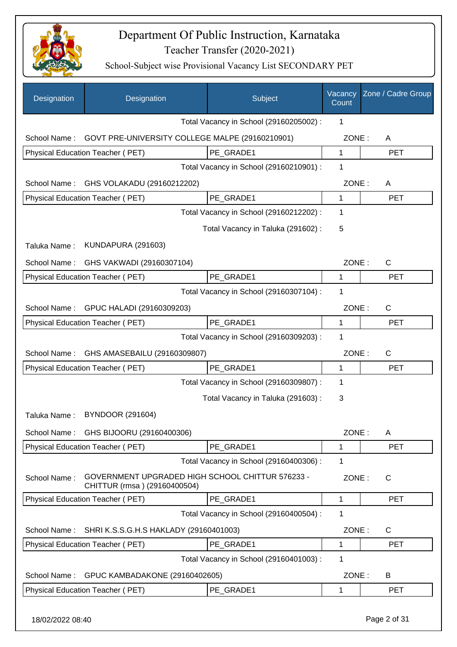

| Designation  | Designation                                                                      | Subject                                 | Vacancy<br>Count | Zone / Cadre Group |
|--------------|----------------------------------------------------------------------------------|-----------------------------------------|------------------|--------------------|
|              |                                                                                  | Total Vacancy in School (29160205002) : | 1                |                    |
| School Name: | GOVT PRE-UNIVERSITY COLLEGE MALPE (29160210901)                                  |                                         | ZONE:            | Α                  |
|              | Physical Education Teacher (PET)                                                 | PE GRADE1                               | $\mathbf{1}$     | <b>PET</b>         |
|              |                                                                                  | Total Vacancy in School (29160210901) : | 1                |                    |
| School Name: | GHS VOLAKADU (29160212202)                                                       |                                         | ZONE:            | A                  |
|              | Physical Education Teacher (PET)                                                 | PE GRADE1                               | 1                | <b>PET</b>         |
|              |                                                                                  | Total Vacancy in School (29160212202) : | 1                |                    |
|              |                                                                                  | Total Vacancy in Taluka (291602) :      | 5                |                    |
| Taluka Name: | <b>KUNDAPURA (291603)</b>                                                        |                                         |                  |                    |
| School Name: | GHS VAKWADI (29160307104)                                                        |                                         | ZONE:            | $\mathsf{C}$       |
|              | Physical Education Teacher (PET)                                                 | PE GRADE1                               | 1                | <b>PET</b>         |
|              |                                                                                  | Total Vacancy in School (29160307104) : | 1                |                    |
| School Name: | GPUC HALADI (29160309203)                                                        |                                         | ZONE:            | C                  |
|              | Physical Education Teacher (PET)                                                 | PE GRADE1                               | 1                | <b>PET</b>         |
|              |                                                                                  | Total Vacancy in School (29160309203) : | 1                |                    |
| School Name: | GHS AMASEBAILU (29160309807)                                                     |                                         | ZONE:            | $\mathsf{C}$       |
|              | Physical Education Teacher (PET)                                                 | PE GRADE1                               | 1                | <b>PET</b>         |
|              |                                                                                  | Total Vacancy in School (29160309807) : | 1                |                    |
|              |                                                                                  | Total Vacancy in Taluka (291603):       | 3                |                    |
| Taluka Name: | <b>BYNDOOR (291604)</b>                                                          |                                         |                  |                    |
| School Name: | GHS BIJOORU (29160400306)                                                        |                                         | ZONE:            | Α                  |
|              | Physical Education Teacher (PET)                                                 | PE GRADE1                               | $\mathbf{1}$     | <b>PET</b>         |
|              |                                                                                  | Total Vacancy in School (29160400306) : | 1                |                    |
| School Name: | GOVERNMENT UPGRADED HIGH SCHOOL CHITTUR 576233 -<br>CHITTUR (rmsa) (29160400504) |                                         | ZONE:            | $\mathsf{C}$       |
|              | <b>Physical Education Teacher (PET)</b>                                          | PE GRADE1                               | 1                | <b>PET</b>         |
|              |                                                                                  | Total Vacancy in School (29160400504) : | 1                |                    |
| School Name: | SHRI K.S.S.G.H.S HAKLADY (29160401003)                                           |                                         | ZONE:            | C                  |
|              | Physical Education Teacher (PET)                                                 | PE_GRADE1                               | 1                | <b>PET</b>         |
|              |                                                                                  | Total Vacancy in School (29160401003) : | 1                |                    |
| School Name: | GPUC KAMBADAKONE (29160402605)                                                   |                                         | ZONE:            | B                  |
|              | Physical Education Teacher (PET)                                                 | PE_GRADE1                               | $\mathbf 1$      | <b>PET</b>         |
|              |                                                                                  |                                         |                  |                    |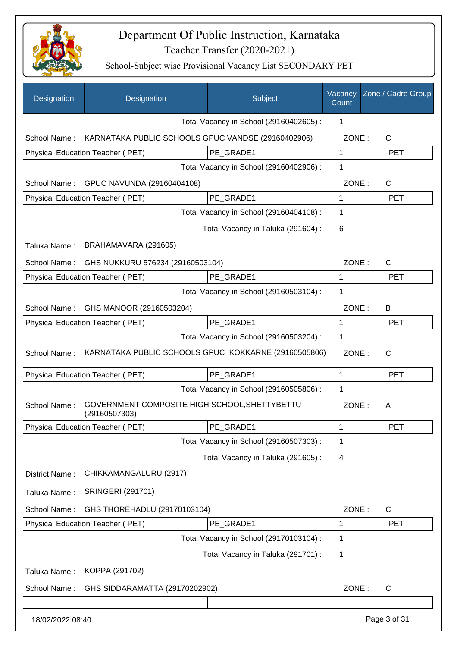

| Designation      | Designation                                                    | Subject                                 | Vacancy<br>Count | Zone / Cadre Group |
|------------------|----------------------------------------------------------------|-----------------------------------------|------------------|--------------------|
|                  |                                                                | Total Vacancy in School (29160402605) : | 1                |                    |
| School Name:     | KARNATAKA PUBLIC SCHOOLS GPUC VANDSE (29160402906)             |                                         | ZONE:            | $\mathsf{C}$       |
|                  | Physical Education Teacher (PET)                               | PE_GRADE1                               | $\mathbf 1$      | <b>PET</b>         |
|                  |                                                                | Total Vacancy in School (29160402906) : | 1                |                    |
| School Name:     | GPUC NAVUNDA (29160404108)                                     |                                         | ZONE:            | $\mathsf{C}$       |
|                  | Physical Education Teacher (PET)                               | PE_GRADE1                               | 1                | <b>PET</b>         |
|                  |                                                                | Total Vacancy in School (29160404108) : | 1                |                    |
|                  |                                                                | Total Vacancy in Taluka (291604) :      | 6                |                    |
| Taluka Name:     | BRAHAMAVARA (291605)                                           |                                         |                  |                    |
| School Name:     | GHS NUKKURU 576234 (29160503104)                               |                                         | ZONE:            | C                  |
|                  | Physical Education Teacher (PET)                               | PE GRADE1                               | 1                | <b>PET</b>         |
|                  |                                                                | Total Vacancy in School (29160503104) : | 1                |                    |
| School Name:     | GHS MANOOR (29160503204)                                       |                                         | ZONE:            | B                  |
|                  | Physical Education Teacher (PET)                               | PE GRADE1                               | 1                | <b>PET</b>         |
|                  |                                                                | Total Vacancy in School (29160503204) : | 1                |                    |
| School Name:     | KARNATAKA PUBLIC SCHOOLS GPUC KOKKARNE (29160505806)           |                                         | ZONE:            | $\mathsf{C}$       |
|                  | Physical Education Teacher (PET)                               | PE GRADE1                               | 1                | <b>PET</b>         |
|                  |                                                                | Total Vacancy in School (29160505806) : | 1                |                    |
| School Name:     | GOVERNMENT COMPOSITE HIGH SCHOOL, SHETTYBETTU<br>(29160507303) |                                         | ZONE:            | A                  |
|                  | Physical Education Teacher (PET)                               | PE_GRADE1                               | 1                | PET                |
|                  |                                                                | Total Vacancy in School (29160507303) : | 1                |                    |
|                  |                                                                | Total Vacancy in Taluka (291605):       | 4                |                    |
| District Name:   | CHIKKAMANGALURU (2917)                                         |                                         |                  |                    |
| Taluka Name:     | <b>SRINGERI (291701)</b>                                       |                                         |                  |                    |
| School Name:     | GHS THOREHADLU (29170103104)                                   |                                         | ZONE:            | C                  |
|                  | Physical Education Teacher (PET)                               | PE_GRADE1                               | 1                | <b>PET</b>         |
|                  |                                                                | Total Vacancy in School (29170103104) : | 1                |                    |
|                  |                                                                | Total Vacancy in Taluka (291701) :      | 1                |                    |
| Taluka Name:     | KOPPA (291702)                                                 |                                         |                  |                    |
| School Name:     | GHS SIDDARAMATTA (29170202902)                                 |                                         | ZONE:            | C                  |
|                  |                                                                |                                         |                  |                    |
| 18/02/2022 08:40 |                                                                |                                         |                  | Page 3 of 31       |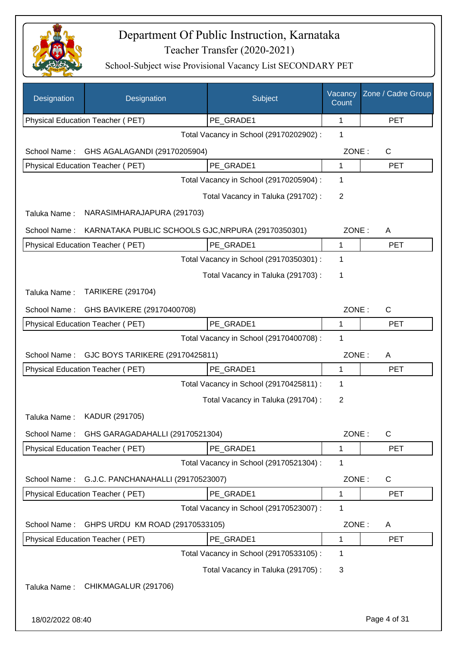

| Designation      | Designation                                        | Subject                                 | Vacancy<br>Count | Zone / Cadre Group |
|------------------|----------------------------------------------------|-----------------------------------------|------------------|--------------------|
|                  | Physical Education Teacher (PET)                   | PE_GRADE1                               | 1                | <b>PET</b>         |
|                  |                                                    | Total Vacancy in School (29170202902) : | 1                |                    |
| School Name:     | GHS AGALAGANDI (29170205904)                       |                                         | ZONE:            | C                  |
|                  | Physical Education Teacher (PET)                   | PE GRADE1                               | 1                | <b>PET</b>         |
|                  |                                                    | Total Vacancy in School (29170205904) : | 1                |                    |
|                  |                                                    | Total Vacancy in Taluka (291702):       | $\overline{2}$   |                    |
| Taluka Name:     | NARASIMHARAJAPURA (291703)                         |                                         |                  |                    |
| School Name:     | KARNATAKA PUBLIC SCHOOLS GJC, NRPURA (29170350301) |                                         | ZONE:            | A                  |
|                  | Physical Education Teacher (PET)                   | PE_GRADE1                               | $\mathbf 1$      | <b>PET</b>         |
|                  |                                                    | Total Vacancy in School (29170350301) : | 1                |                    |
|                  |                                                    | Total Vacancy in Taluka (291703):       | 1                |                    |
| Taluka Name:     | <b>TARIKERE (291704)</b>                           |                                         |                  |                    |
| School Name:     | GHS BAVIKERE (29170400708)                         |                                         | ZONE:            | $\mathsf{C}$       |
|                  | Physical Education Teacher (PET)                   | PE GRADE1                               | 1                | <b>PET</b>         |
|                  |                                                    | Total Vacancy in School (29170400708) : | 1                |                    |
| School Name:     | GJC BOYS TARIKERE (29170425811)                    |                                         | ZONE:            | A                  |
|                  | Physical Education Teacher (PET)                   | PE_GRADE1                               | $\mathbf{1}$     | <b>PET</b>         |
|                  |                                                    | Total Vacancy in School (29170425811) : | 1                |                    |
|                  |                                                    | Total Vacancy in Taluka (291704) :      | $\overline{2}$   |                    |
| Taluka Name:     | KADUR (291705)                                     |                                         |                  |                    |
| School Name:     | GHS GARAGADAHALLI (29170521304)                    |                                         | ZONE:            | $\mathsf{C}$       |
|                  | Physical Education Teacher (PET)                   | PE_GRADE1                               | 1                | <b>PET</b>         |
|                  |                                                    | Total Vacancy in School (29170521304) : | 1                |                    |
| School Name:     | G.J.C. PANCHANAHALLI (29170523007)                 |                                         | ZONE:            | C                  |
|                  | Physical Education Teacher (PET)                   | PE GRADE1                               | 1                | <b>PET</b>         |
|                  |                                                    | Total Vacancy in School (29170523007) : | 1                |                    |
| School Name:     | GHPS URDU KM ROAD (29170533105)                    |                                         | ZONE:            | A                  |
|                  | Physical Education Teacher (PET)                   | PE_GRADE1                               | 1                | <b>PET</b>         |
|                  |                                                    | Total Vacancy in School (29170533105) : | 1                |                    |
|                  |                                                    | Total Vacancy in Taluka (291705):       | 3                |                    |
| Taluka Name:     | CHIKMAGALUR (291706)                               |                                         |                  |                    |
|                  |                                                    |                                         |                  |                    |
| 18/02/2022 08:40 |                                                    |                                         |                  | Page 4 of 31       |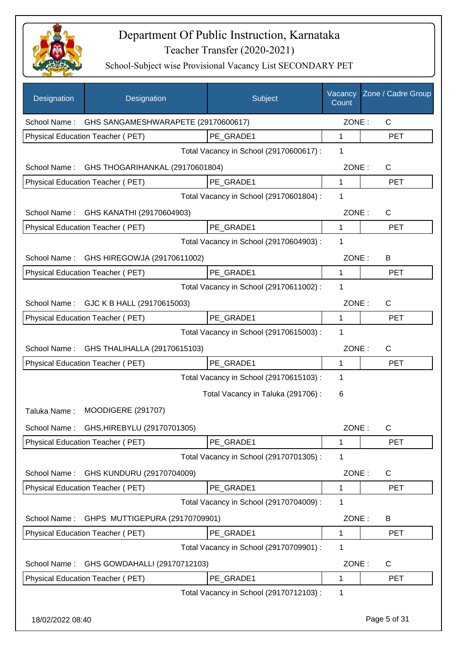

| Designation  | Designation                                      | Subject                                 | Vacancy<br>Count | Zone / Cadre Group |
|--------------|--------------------------------------------------|-----------------------------------------|------------------|--------------------|
|              | School Name: GHS SANGAMESHWARAPETE (29170600617) |                                         | ZONE:            | $\mathsf{C}$       |
|              | Physical Education Teacher (PET)                 | PE_GRADE1                               | 1                | <b>PET</b>         |
|              |                                                  | Total Vacancy in School (29170600617) : | 1                |                    |
|              | School Name: GHS THOGARIHANKAL (29170601804)     |                                         | ZONE:            | C                  |
|              | Physical Education Teacher (PET)                 | PE GRADE1                               | 1                | <b>PET</b>         |
|              |                                                  | Total Vacancy in School (29170601804) : | 1                |                    |
|              | School Name: GHS KANATHI (29170604903)           |                                         | ZONE:            | $\mathsf{C}$       |
|              | Physical Education Teacher (PET)                 | PE_GRADE1                               | $\mathbf{1}$     | <b>PET</b>         |
|              |                                                  | Total Vacancy in School (29170604903) : | 1                |                    |
| School Name: | GHS HIREGOWJA (29170611002)                      |                                         | ZONE:            | B                  |
|              | Physical Education Teacher (PET)                 | PE_GRADE1                               | $\mathbf 1$      | <b>PET</b>         |
|              |                                                  | Total Vacancy in School (29170611002) : | 1                |                    |
|              | School Name: GJC K B HALL (29170615003)          |                                         | ZONE:            | $\mathsf{C}$       |
|              | Physical Education Teacher (PET)                 | PE_GRADE1                               | 1                | <b>PET</b>         |
|              |                                                  | Total Vacancy in School (29170615003) : | 1                |                    |
| School Name: | GHS THALIHALLA (29170615103)                     |                                         | ZONE:            | $\mathsf{C}$       |
|              | Physical Education Teacher (PET)                 | PE_GRADE1                               | 1                | <b>PET</b>         |
|              |                                                  | Total Vacancy in School (29170615103) : | 1                |                    |
|              |                                                  | Total Vacancy in Taluka (291706) :      | 6                |                    |
| Taluka Name: | <b>MOODIGERE (291707)</b>                        |                                         |                  |                    |
|              | School Name: GHS, HIREBYLU (29170701305)         |                                         | ZONE:            | C                  |
|              | Physical Education Teacher (PET)                 | PE_GRADE1                               | 1                | PET                |
|              |                                                  | Total Vacancy in School (29170701305) : | 1                |                    |
| School Name: | GHS KUNDURU (29170704009)                        |                                         | ZONE:            | C                  |
|              | Physical Education Teacher (PET)                 | PE_GRADE1                               | 1                | <b>PET</b>         |
|              |                                                  | Total Vacancy in School (29170704009) : | 1                |                    |
| School Name: | GHPS MUTTIGEPURA (29170709901)                   |                                         | ZONE:            | B                  |
|              | Physical Education Teacher (PET)                 | PE_GRADE1                               | 1                | <b>PET</b>         |
|              |                                                  | Total Vacancy in School (29170709901) : | 1                |                    |
| School Name: | GHS GOWDAHALLI (29170712103)                     |                                         | ZONE:            | C                  |
|              | Physical Education Teacher (PET)                 | PE_GRADE1                               | 1                | <b>PET</b>         |
|              |                                                  | Total Vacancy in School (29170712103) : | 1                |                    |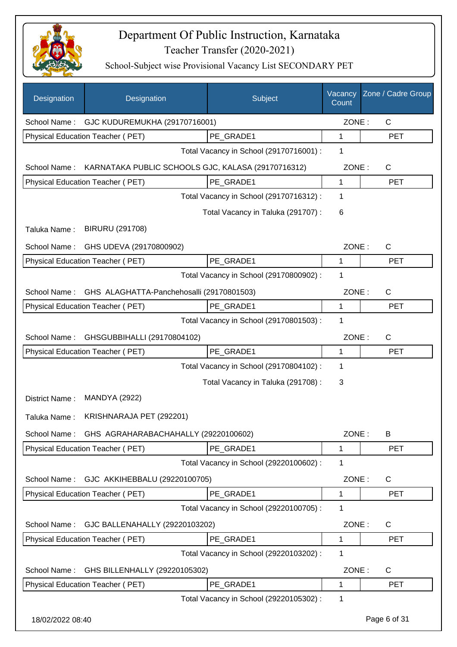

| Designation      | Designation                                        | Subject                                 | Vacancy<br>Count | Zone / Cadre Group |
|------------------|----------------------------------------------------|-----------------------------------------|------------------|--------------------|
| School Name:     | GJC KUDUREMUKHA (29170716001)                      |                                         | ZONE:            | $\mathsf{C}$       |
|                  | Physical Education Teacher (PET)                   | PE GRADE1                               | 1                | <b>PET</b>         |
|                  |                                                    | Total Vacancy in School (29170716001) : | 1                |                    |
| School Name:     | KARNATAKA PUBLIC SCHOOLS GJC, KALASA (29170716312) |                                         | ZONE:            | $\mathsf{C}$       |
|                  | Physical Education Teacher (PET)                   | PE_GRADE1                               | 1                | <b>PET</b>         |
|                  |                                                    | Total Vacancy in School (29170716312) : | 1                |                    |
|                  |                                                    | Total Vacancy in Taluka (291707) :      | 6                |                    |
| Taluka Name:     | <b>BIRURU (291708)</b>                             |                                         |                  |                    |
| School Name:     | GHS UDEVA (29170800902)                            |                                         | ZONE:            | C                  |
|                  | Physical Education Teacher (PET)                   | PE_GRADE1                               | 1                | <b>PET</b>         |
|                  |                                                    | Total Vacancy in School (29170800902) : | 1                |                    |
| School Name:     | GHS ALAGHATTA-Panchehosalli (29170801503)          |                                         | ZONE:            | $\mathsf{C}$       |
|                  | Physical Education Teacher (PET)                   | PE GRADE1                               | 1                | <b>PET</b>         |
|                  |                                                    | Total Vacancy in School (29170801503) : | 1                |                    |
| School Name:     | GHSGUBBIHALLI (29170804102)                        |                                         | ZONE:            | C                  |
|                  | Physical Education Teacher (PET)                   | PE_GRADE1                               | 1                | <b>PET</b>         |
|                  |                                                    | Total Vacancy in School (29170804102) : | 1                |                    |
|                  |                                                    | Total Vacancy in Taluka (291708):       | 3                |                    |
| District Name:   | <b>MANDYA (2922)</b>                               |                                         |                  |                    |
| Taluka Name:     | KRISHNARAJA PET (292201)                           |                                         |                  |                    |
| School Name:     | GHS AGRAHARABACHAHALLY (29220100602)               |                                         | ZONE:            | В                  |
|                  | Physical Education Teacher (PET)                   | PE_GRADE1                               | 1                | <b>PET</b>         |
|                  |                                                    | Total Vacancy in School (29220100602) : | 1                |                    |
| School Name:     | GJC AKKIHEBBALU (29220100705)                      |                                         | ZONE:            | C                  |
|                  | Physical Education Teacher (PET)                   | PE_GRADE1                               | 1                | <b>PET</b>         |
|                  |                                                    | Total Vacancy in School (29220100705) : | 1                |                    |
| School Name:     | GJC BALLENAHALLY (29220103202)                     |                                         | ZONE:            | C                  |
|                  | Physical Education Teacher (PET)                   | PE_GRADE1                               | 1                | <b>PET</b>         |
|                  |                                                    | Total Vacancy in School (29220103202) : | 1                |                    |
| School Name:     | GHS BILLENHALLY (29220105302)                      |                                         | ZONE:            | C                  |
|                  | Physical Education Teacher (PET)                   | PE_GRADE1                               | 1                | <b>PET</b>         |
|                  |                                                    | Total Vacancy in School (29220105302) : | 1                |                    |
| 18/02/2022 08:40 |                                                    |                                         |                  | Page 6 of 31       |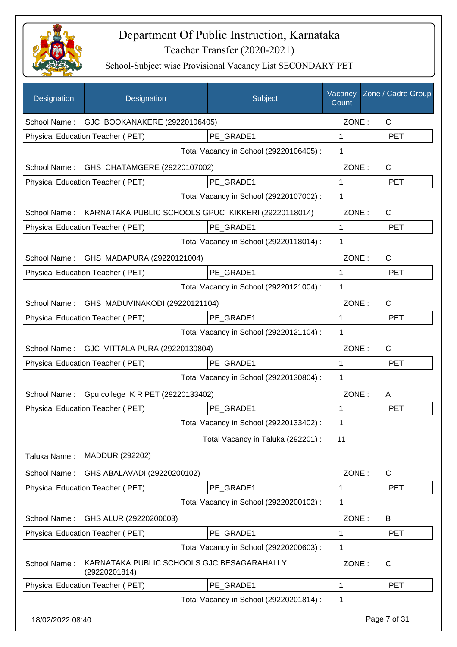

| Designation      | Designation                                                 | Subject                                 | Vacancy<br>Count | Zone / Cadre Group |
|------------------|-------------------------------------------------------------|-----------------------------------------|------------------|--------------------|
|                  | School Name: GJC BOOKANAKERE (29220106405)                  |                                         | ZONE:            | C                  |
|                  | Physical Education Teacher (PET)                            | PE_GRADE1                               | 1                | <b>PET</b>         |
|                  |                                                             | Total Vacancy in School (29220106405) : | 1                |                    |
| School Name:     | GHS CHATAMGERE (29220107002)                                |                                         | ZONE:            | C                  |
|                  | Physical Education Teacher (PET)                            | PE GRADE1                               | 1                | <b>PET</b>         |
|                  |                                                             | Total Vacancy in School (29220107002) : | 1                |                    |
| School Name:     | KARNATAKA PUBLIC SCHOOLS GPUC KIKKERI (29220118014)         |                                         | ZONE:            | $\mathsf{C}$       |
|                  | Physical Education Teacher (PET)                            | PE GRADE1                               | 1                | <b>PET</b>         |
|                  |                                                             | Total Vacancy in School (29220118014) : | 1                |                    |
|                  | School Name: GHS MADAPURA (29220121004)                     |                                         | ZONE:            | C                  |
|                  | Physical Education Teacher (PET)                            | PE_GRADE1                               | $\mathbf 1$      | <b>PET</b>         |
|                  |                                                             | Total Vacancy in School (29220121004) : | 1                |                    |
| School Name:     | GHS MADUVINAKODI (29220121104)                              |                                         | ZONE:            | C                  |
|                  | Physical Education Teacher (PET)                            | PE_GRADE1                               | 1                | <b>PET</b>         |
|                  |                                                             | Total Vacancy in School (29220121104) : | 1                |                    |
|                  | School Name: GJC VITTALA PURA (29220130804)                 |                                         | ZONE:            | C                  |
|                  | Physical Education Teacher (PET)                            | PE_GRADE1                               | 1                | <b>PET</b>         |
|                  |                                                             | Total Vacancy in School (29220130804) : | 1                |                    |
| School Name:     | Gpu college K R PET (29220133402)                           |                                         | ZONE:            | A                  |
|                  | Physical Education Teacher (PET)                            | PE_GRADE1                               | 1                | <b>PET</b>         |
|                  |                                                             | Total Vacancy in School (29220133402) : | 1                |                    |
|                  |                                                             | Total Vacancy in Taluka (292201) :      | 11               |                    |
| Taluka Name:     | MADDUR (292202)                                             |                                         |                  |                    |
| School Name:     | GHS ABALAVADI (29220200102)                                 |                                         | ZONE:            | C                  |
|                  | Physical Education Teacher (PET)                            | PE_GRADE1                               | 1                | <b>PET</b>         |
|                  |                                                             | Total Vacancy in School (29220200102) : | 1                |                    |
| School Name:     | GHS ALUR (29220200603)                                      |                                         | ZONE:            | B                  |
|                  | Physical Education Teacher (PET)                            | PE_GRADE1                               | 1                | <b>PET</b>         |
|                  |                                                             | Total Vacancy in School (29220200603) : | 1                |                    |
| School Name:     | KARNATAKA PUBLIC SCHOOLS GJC BESAGARAHALLY<br>(29220201814) |                                         | ZONE:            | C                  |
|                  | Physical Education Teacher (PET)                            | PE_GRADE1                               | 1                | <b>PET</b>         |
|                  |                                                             | Total Vacancy in School (29220201814) : | 1                |                    |
| 18/02/2022 08:40 |                                                             |                                         |                  | Page 7 of 31       |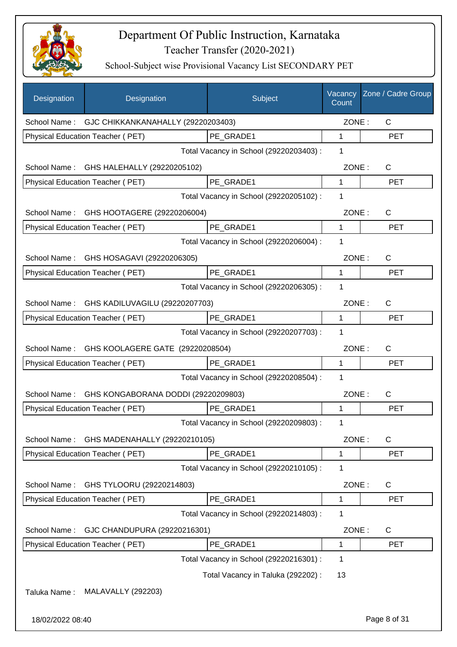

| Designation      | Designation                                     | Subject                                 | Vacancy<br>Count | Zone / Cadre Group |
|------------------|-------------------------------------------------|-----------------------------------------|------------------|--------------------|
|                  | School Name: GJC CHIKKANKANAHALLY (29220203403) |                                         | ZONE:            | C                  |
|                  | Physical Education Teacher (PET)                | PE_GRADE1                               | 1                | <b>PET</b>         |
|                  |                                                 | Total Vacancy in School (29220203403) : | 1                |                    |
| School Name:     | GHS HALEHALLY (29220205102)                     |                                         | ZONE:            | C                  |
|                  | Physical Education Teacher (PET)                | PE GRADE1                               | 1                | <b>PET</b>         |
|                  |                                                 | Total Vacancy in School (29220205102) : | 1                |                    |
| School Name:     | GHS HOOTAGERE (29220206004)                     |                                         | ZONE:            | $\mathsf{C}$       |
|                  | Physical Education Teacher (PET)                | PE GRADE1                               | $\mathbf{1}$     | <b>PET</b>         |
|                  |                                                 | Total Vacancy in School (29220206004) : | 1                |                    |
| School Name:     | GHS HOSAGAVI (29220206305)                      |                                         | ZONE:            | $\mathsf{C}$       |
|                  | Physical Education Teacher (PET)                | PE GRADE1                               | 1                | <b>PET</b>         |
|                  |                                                 | Total Vacancy in School (29220206305) : | 1                |                    |
| School Name:     | GHS KADILUVAGILU (29220207703)                  |                                         | ZONE:            | C                  |
|                  | Physical Education Teacher (PET)                | PE_GRADE1                               | 1                | <b>PET</b>         |
|                  |                                                 | Total Vacancy in School (29220207703) : | 1                |                    |
| School Name:     | GHS KOOLAGERE GATE (29220208504)                |                                         | ZONE:            | $\mathsf{C}$       |
|                  | Physical Education Teacher (PET)                | PE GRADE1                               | 1                | <b>PET</b>         |
|                  |                                                 | Total Vacancy in School (29220208504) : | 1                |                    |
| School Name:     | GHS KONGABORANA DODDI (29220209803)             |                                         | ZONE:            | $\mathsf{C}$       |
|                  | Physical Education Teacher (PET)                | PE_GRADE1                               | 1                | <b>PET</b>         |
|                  |                                                 | Total Vacancy in School (29220209803) : | 1                |                    |
| School Name:     | GHS MADENAHALLY (29220210105)                   |                                         | ZONE:            | $\mathsf{C}$       |
|                  | Physical Education Teacher (PET)                | PE_GRADE1                               | 1                | <b>PET</b>         |
|                  |                                                 | Total Vacancy in School (29220210105) : | 1                |                    |
| School Name:     | GHS TYLOORU (29220214803)                       |                                         | ZONE:            | C                  |
|                  | Physical Education Teacher (PET)                | PE GRADE1                               | 1                | <b>PET</b>         |
|                  |                                                 | Total Vacancy in School (29220214803) : | 1                |                    |
| School Name:     | GJC CHANDUPURA (29220216301)                    |                                         | ZONE:            | C                  |
|                  | Physical Education Teacher (PET)                | PE_GRADE1                               | 1                | <b>PET</b>         |
|                  |                                                 | Total Vacancy in School (29220216301) : | 1                |                    |
|                  |                                                 | Total Vacancy in Taluka (292202) :      | 13               |                    |
| Taluka Name:     | <b>MALAVALLY (292203)</b>                       |                                         |                  |                    |
| 18/02/2022 08:40 |                                                 |                                         |                  | Page 8 of 31       |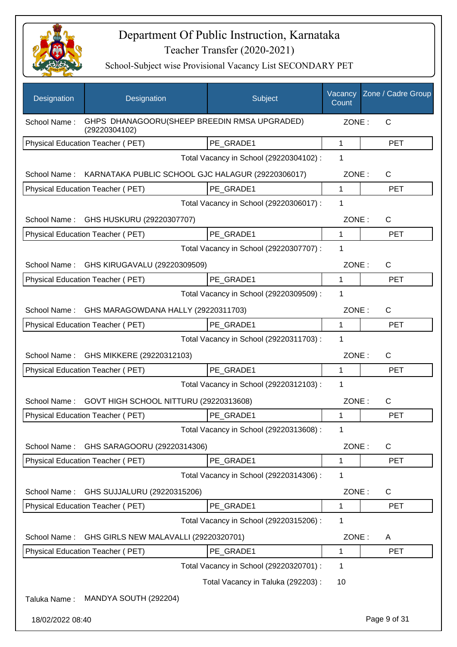

| <b>Designation</b>                           | Designation                                                   | Subject                                 | Vacancy<br>Count | Zone / Cadre Group    |
|----------------------------------------------|---------------------------------------------------------------|-----------------------------------------|------------------|-----------------------|
| School Name:                                 | GHPS DHANAGOORU(SHEEP BREEDIN RMSA UPGRADED)<br>(29220304102) |                                         | ZONE:            | $\mathsf{C}$          |
|                                              | <b>Physical Education Teacher (PET)</b>                       | PE GRADE1                               | 1                | <b>PET</b>            |
|                                              |                                                               | Total Vacancy in School (29220304102) : | 1                |                       |
| School Name:                                 | KARNATAKA PUBLIC SCHOOL GJC HALAGUR (29220306017)             |                                         | ZONE:            | $\mathsf{C}$          |
|                                              | Physical Education Teacher (PET)                              | PE GRADE1                               | 1                | <b>PET</b>            |
|                                              |                                                               | Total Vacancy in School (29220306017) : | 1                |                       |
| School Name: GHS HUSKURU (29220307707)       |                                                               |                                         | ZONE:            | $\mathsf{C}$          |
|                                              | Physical Education Teacher (PET)                              | PE GRADE1                               | 1                | <b>PET</b>            |
|                                              |                                                               | Total Vacancy in School (29220307707) : | 1                |                       |
| School Name:<br>GHS KIRUGAVALU (29220309509) |                                                               |                                         |                  | ZONE:<br>$\mathsf{C}$ |
|                                              | Physical Education Teacher (PET)                              | PE GRADE1                               | 1                | <b>PET</b>            |
|                                              |                                                               | Total Vacancy in School (29220309509) : | 1                |                       |
| School Name:                                 | GHS MARAGOWDANA HALLY (29220311703)                           |                                         | ZONE:            | C                     |
|                                              | Physical Education Teacher (PET)                              | PE GRADE1                               | 1                | <b>PET</b>            |
|                                              |                                                               | Total Vacancy in School (29220311703) : | 1                |                       |
| School Name:                                 | GHS MIKKERE (29220312103)                                     |                                         | ZONE:            | C                     |
|                                              | Physical Education Teacher (PET)                              | PE_GRADE1                               | 1                | <b>PET</b>            |
|                                              |                                                               | Total Vacancy in School (29220312103) : | 1                |                       |
| School Name:                                 | GOVT HIGH SCHOOL NITTURU (29220313608)                        |                                         | ZONE:            | C                     |
|                                              | <b>Physical Education Teacher (PET)</b>                       | PE GRADE1                               | 1                | <b>PET</b>            |
|                                              |                                                               | Total Vacancy in School (29220313608) : | 1                |                       |
| School Name:                                 | GHS SARAGOORU (29220314306)                                   |                                         | ZONE:            | C                     |
|                                              | Physical Education Teacher (PET)                              | PE GRADE1                               | 1                | PET                   |
|                                              |                                                               | Total Vacancy in School (29220314306) : | 1                |                       |
| School Name:                                 | GHS SUJJALURU (29220315206)                                   |                                         | ZONE:            | C                     |
|                                              | Physical Education Teacher (PET)                              | PE_GRADE1                               | 1                | <b>PET</b>            |
|                                              |                                                               | Total Vacancy in School (29220315206) : | 1                |                       |
| School Name:                                 | GHS GIRLS NEW MALAVALLI (29220320701)                         |                                         | ZONE:            | A                     |
|                                              | Physical Education Teacher (PET)                              | PE_GRADE1                               | 1                | <b>PET</b>            |
|                                              |                                                               | Total Vacancy in School (29220320701) : | 1                |                       |
|                                              |                                                               | Total Vacancy in Taluka (292203) :      | 10               |                       |
| Taluka Name:                                 | MANDYA SOUTH (292204)                                         |                                         |                  |                       |
| 18/02/2022 08:40                             |                                                               |                                         |                  | Page 9 of 31          |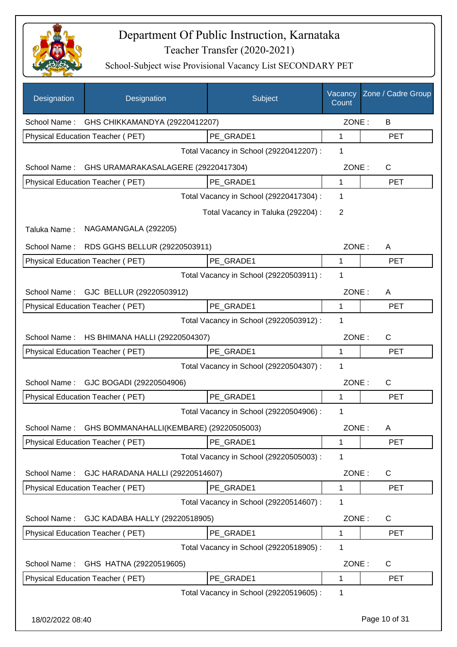

| Designation      | Designation                             | Subject                                 | Vacancy<br>Count | Zone / Cadre Group |
|------------------|-----------------------------------------|-----------------------------------------|------------------|--------------------|
| School Name :    | GHS CHIKKAMANDYA (29220412207)          |                                         | ZONE:            | B                  |
|                  | <b>Physical Education Teacher (PET)</b> | PE_GRADE1                               | 1                | <b>PET</b>         |
|                  |                                         | Total Vacancy in School (29220412207) : | 1                |                    |
| School Name:     | GHS URAMARAKASALAGERE (29220417304)     |                                         | ZONE:            | C                  |
|                  | Physical Education Teacher (PET)        | PE_GRADE1                               | 1                | <b>PET</b>         |
|                  |                                         | Total Vacancy in School (29220417304) : | 1                |                    |
|                  |                                         | Total Vacancy in Taluka (292204) :      | 2                |                    |
| Taluka Name:     | NAGAMANGALA (292205)                    |                                         |                  |                    |
| School Name:     | RDS GGHS BELLUR (29220503911)           |                                         | ZONE:            | A                  |
|                  | Physical Education Teacher (PET)        | PE GRADE1                               | 1                | <b>PET</b>         |
|                  |                                         | Total Vacancy in School (29220503911) : | 1                |                    |
| School Name:     | GJC BELLUR (29220503912)                |                                         | ZONE:            | A                  |
|                  | Physical Education Teacher (PET)        | PE_GRADE1                               | 1                | <b>PET</b>         |
|                  |                                         | Total Vacancy in School (29220503912) : | 1                |                    |
| School Name:     | HS BHIMANA HALLI (29220504307)          |                                         | ZONE:            | $\mathsf{C}$       |
|                  | Physical Education Teacher (PET)        | PE_GRADE1                               | 1                | <b>PET</b>         |
|                  |                                         | Total Vacancy in School (29220504307) : | 1                |                    |
| School Name:     | GJC BOGADI (29220504906)                |                                         | ZONE:            | $\mathsf{C}$       |
|                  | Physical Education Teacher (PET)        | PE_GRADE1                               | 1                | <b>PET</b>         |
|                  |                                         | Total Vacancy in School (29220504906) : | 1                |                    |
| School Name:     | GHS BOMMANAHALLI(KEMBARE) (29220505003) |                                         | ZONE:            | A                  |
|                  | Physical Education Teacher (PET)        | PE_GRADE1                               | 1                | <b>PET</b>         |
|                  |                                         | Total Vacancy in School (29220505003) : | 1                |                    |
| School Name:     | GJC HARADANA HALLI (29220514607)        |                                         | ZONE:            | C                  |
|                  | Physical Education Teacher (PET)        | PE_GRADE1                               | 1                | <b>PET</b>         |
|                  |                                         | Total Vacancy in School (29220514607) : | 1                |                    |
| School Name:     | GJC KADABA HALLY (29220518905)          |                                         | ZONE:            | C                  |
|                  | Physical Education Teacher (PET)        | PE_GRADE1                               | 1                | <b>PET</b>         |
|                  |                                         | Total Vacancy in School (29220518905) : | 1                |                    |
| School Name:     | GHS HATNA (29220519605)                 |                                         | ZONE:            | C                  |
|                  | Physical Education Teacher (PET)        | PE_GRADE1                               | 1                | <b>PET</b>         |
|                  |                                         | Total Vacancy in School (29220519605) : | 1                |                    |
| 18/02/2022 08:40 |                                         |                                         |                  | Page 10 of 31      |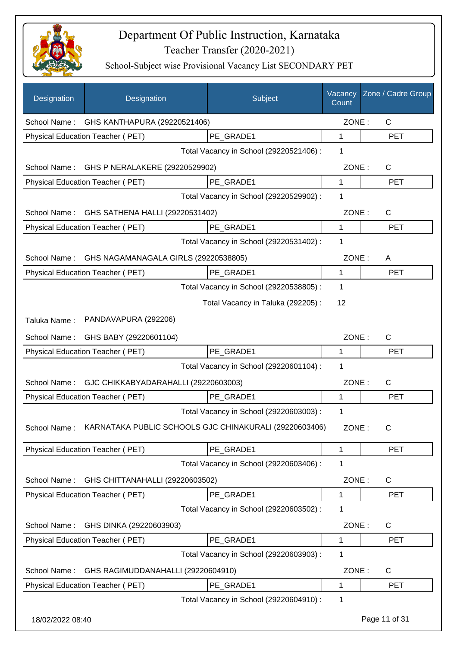

| Designation      | Designation                                            | Subject                                 | Vacancy<br>Count | Zone / Cadre Group |
|------------------|--------------------------------------------------------|-----------------------------------------|------------------|--------------------|
| School Name:     | GHS KANTHAPURA (29220521406)                           |                                         | ZONE:            | C                  |
|                  | Physical Education Teacher (PET)                       | PE GRADE1                               | 1                | <b>PET</b>         |
|                  |                                                        | Total Vacancy in School (29220521406) : | 1                |                    |
| School Name:     | GHS P NERALAKERE (29220529902)                         |                                         | ZONE:            | C                  |
|                  | Physical Education Teacher (PET)                       | PE GRADE1                               | $\mathbf{1}$     | <b>PET</b>         |
|                  |                                                        | Total Vacancy in School (29220529902) : | 1                |                    |
| School Name:     | GHS SATHENA HALLI (29220531402)                        |                                         | ZONE:            | C                  |
|                  | Physical Education Teacher (PET)                       | PE_GRADE1                               | 1                | <b>PET</b>         |
|                  |                                                        | Total Vacancy in School (29220531402) : | 1                |                    |
| School Name:     | GHS NAGAMANAGALA GIRLS (29220538805)                   |                                         | ZONE:            | A                  |
|                  | <b>Physical Education Teacher (PET)</b>                | PE GRADE1                               | 1                | <b>PET</b>         |
|                  |                                                        | Total Vacancy in School (29220538805) : | 1                |                    |
|                  |                                                        | Total Vacancy in Taluka (292205):       | 12               |                    |
| Taluka Name:     | PANDAVAPURA (292206)                                   |                                         |                  |                    |
| School Name:     | GHS BABY (29220601104)                                 |                                         | ZONE:            | $\mathsf{C}$       |
|                  | Physical Education Teacher (PET)                       | PE_GRADE1                               | 1                | <b>PET</b>         |
|                  |                                                        | Total Vacancy in School (29220601104) : | 1                |                    |
| School Name:     | GJC CHIKKABYADARAHALLI (29220603003)                   |                                         | ZONE:            | C                  |
|                  | Physical Education Teacher (PET)                       | PE_GRADE1                               | 1                | <b>PET</b>         |
|                  |                                                        | Total Vacancy in School (29220603003) : | 1                |                    |
| School Name:     | KARNATAKA PUBLIC SCHOOLS GJC CHINAKURALI (29220603406) |                                         | ZONE:            | $\mathsf{C}$       |
|                  | <b>Physical Education Teacher (PET)</b>                | PE GRADE1                               | 1                | <b>PET</b>         |
|                  |                                                        | Total Vacancy in School (29220603406) : | 1                |                    |
| School Name:     | GHS CHITTANAHALLI (29220603502)                        |                                         | ZONE:            | $\mathsf{C}$       |
|                  | Physical Education Teacher (PET)                       | PE GRADE1                               | 1                | <b>PET</b>         |
|                  |                                                        | Total Vacancy in School (29220603502) : | 1                |                    |
| School Name:     | GHS DINKA (29220603903)                                |                                         | ZONE:            | C                  |
|                  | Physical Education Teacher (PET)                       | PE_GRADE1                               | 1                | <b>PET</b>         |
|                  |                                                        | Total Vacancy in School (29220603903) : | 1                |                    |
| School Name:     | GHS RAGIMUDDANAHALLI (29220604910)                     |                                         | ZONE:            | C                  |
|                  | Physical Education Teacher (PET)                       | PE_GRADE1                               | 1                | <b>PET</b>         |
|                  |                                                        | Total Vacancy in School (29220604910) : | 1                |                    |
| 18/02/2022 08:40 |                                                        |                                         |                  | Page 11 of 31      |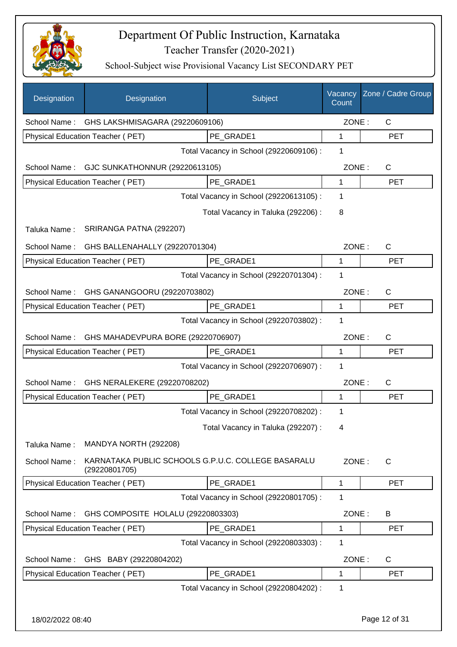

| Designation      | Designation                                                         | Subject                                 | Vacancy<br>Count | Zone / Cadre Group |
|------------------|---------------------------------------------------------------------|-----------------------------------------|------------------|--------------------|
| School Name:     | GHS LAKSHMISAGARA (29220609106)                                     |                                         | ZONE:            | C                  |
|                  | Physical Education Teacher (PET)                                    | PE GRADE1                               | 1                | <b>PET</b>         |
|                  |                                                                     | Total Vacancy in School (29220609106) : | 1                |                    |
| School Name:     | GJC SUNKATHONNUR (29220613105)                                      |                                         | ZONE:            | C                  |
|                  | Physical Education Teacher (PET)                                    | PE GRADE1                               | 1                | <b>PET</b>         |
|                  |                                                                     | Total Vacancy in School (29220613105) : | $\mathbf 1$      |                    |
|                  |                                                                     | Total Vacancy in Taluka (292206) :      | 8                |                    |
| Taluka Name:     | SRIRANGA PATNA (292207)                                             |                                         |                  |                    |
| School Name:     | GHS BALLENAHALLY (29220701304)                                      |                                         | ZONE:            | $\mathsf{C}$       |
|                  | Physical Education Teacher (PET)                                    | PE GRADE1                               | 1                | <b>PET</b>         |
|                  |                                                                     | Total Vacancy in School (29220701304) : | 1                |                    |
| School Name:     | GHS GANANGOORU (29220703802)                                        |                                         | ZONE:            | $\mathsf{C}$       |
|                  | Physical Education Teacher (PET)                                    | PE GRADE1                               | 1                | <b>PET</b>         |
|                  |                                                                     | Total Vacancy in School (29220703802) : | 1                |                    |
| School Name:     | GHS MAHADEVPURA BORE (29220706907)                                  |                                         | ZONE:            | $\mathsf{C}$       |
|                  | Physical Education Teacher (PET)                                    | PE GRADE1                               | 1                | <b>PET</b>         |
|                  |                                                                     | Total Vacancy in School (29220706907) : | 1                |                    |
| School Name:     | GHS NERALEKERE (29220708202)                                        |                                         | ZONE:            | $\mathsf{C}$       |
|                  | Physical Education Teacher (PET)                                    | PE GRADE1                               | 1                | <b>PET</b>         |
|                  |                                                                     | Total Vacancy in School (29220708202) : | 1                |                    |
|                  |                                                                     | Total Vacancy in Taluka (292207) :      | 4                |                    |
| Taluka Name:     | MANDYA NORTH (292208)                                               |                                         |                  |                    |
| School Name:     | KARNATAKA PUBLIC SCHOOLS G.P.U.C. COLLEGE BASARALU<br>(29220801705) |                                         | ZONE:            | $\mathsf{C}$       |
|                  | Physical Education Teacher (PET)                                    | PE GRADE1                               | $\mathbf{1}$     | <b>PET</b>         |
|                  |                                                                     | Total Vacancy in School (29220801705) : | 1                |                    |
| School Name:     | GHS COMPOSITE HOLALU (29220803303)                                  |                                         | ZONE:            | B                  |
|                  | Physical Education Teacher (PET)                                    | PE_GRADE1                               | 1                | <b>PET</b>         |
|                  |                                                                     | Total Vacancy in School (29220803303) : | $\mathbf 1$      |                    |
| School Name:     | GHS BABY (29220804202)                                              |                                         | ZONE:            | C                  |
|                  | Physical Education Teacher (PET)                                    | PE GRADE1                               | 1                | <b>PET</b>         |
|                  |                                                                     | Total Vacancy in School (29220804202) : | $\mathbf 1$      |                    |
| 18/02/2022 08:40 |                                                                     |                                         |                  | Page 12 of 31      |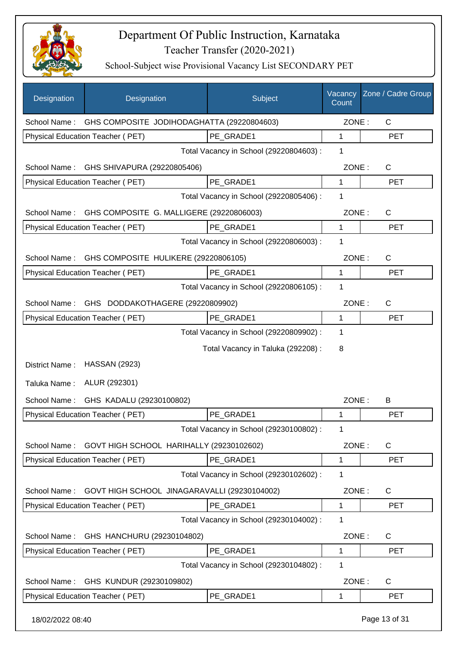

| Designation      | Designation                                             | Subject                                 | Vacancy<br>Count | Zone / Cadre Group |
|------------------|---------------------------------------------------------|-----------------------------------------|------------------|--------------------|
|                  | School Name: GHS COMPOSITE JODIHODAGHATTA (29220804603) |                                         | ZONE:            | $\mathsf{C}$       |
|                  | Physical Education Teacher (PET)                        | PE_GRADE1                               | 1                | <b>PET</b>         |
|                  |                                                         | Total Vacancy in School (29220804603) : | 1                |                    |
| School Name:     | GHS SHIVAPURA (29220805406)                             |                                         | ZONE:            | $\mathsf{C}$       |
|                  | Physical Education Teacher (PET)                        | PE GRADE1                               | $\mathbf{1}$     | <b>PET</b>         |
|                  |                                                         | Total Vacancy in School (29220805406) : | 1                |                    |
| School Name:     | GHS COMPOSITE G. MALLIGERE (29220806003)                |                                         | ZONE:            | $\mathsf{C}$       |
|                  | Physical Education Teacher (PET)                        | PE_GRADE1                               | 1                | <b>PET</b>         |
|                  |                                                         | Total Vacancy in School (29220806003) : | 1                |                    |
| School Name:     | GHS COMPOSITE HULIKERE (29220806105)                    |                                         | ZONE:            | $\mathsf{C}$       |
|                  | Physical Education Teacher (PET)                        | PE GRADE1                               | 1                | <b>PET</b>         |
|                  |                                                         | Total Vacancy in School (29220806105) : | 1                |                    |
| School Name:     | GHS DODDAKOTHAGERE (29220809902)                        |                                         | ZONE:            | C                  |
|                  | Physical Education Teacher (PET)                        | PE_GRADE1                               | 1                | <b>PET</b>         |
|                  |                                                         | Total Vacancy in School (29220809902) : | 1                |                    |
|                  |                                                         | Total Vacancy in Taluka (292208) :      | 8                |                    |
| District Name:   | <b>HASSAN (2923)</b>                                    |                                         |                  |                    |
| Taluka Name:     | ALUR (292301)                                           |                                         |                  |                    |
| School Name:     | GHS KADALU (29230100802)                                |                                         | ZONE:            | B                  |
|                  | Physical Education Teacher (PET)                        | PE GRADE1                               | 1                | <b>PET</b>         |
|                  |                                                         | Total Vacancy in School (29230100802) : | 1                |                    |
| School Name:     | GOVT HIGH SCHOOL HARIHALLY (29230102602)                |                                         | ZONE:            | $\mathsf{C}$       |
|                  | Physical Education Teacher (PET)                        | PE GRADE1                               | 1                | <b>PET</b>         |
|                  |                                                         | Total Vacancy in School (29230102602) : | 1                |                    |
| School Name:     | GOVT HIGH SCHOOL JINAGARAVALLI (29230104002)            |                                         | ZONE:            | C                  |
|                  | <b>Physical Education Teacher (PET)</b>                 | PE_GRADE1                               | 1                | <b>PET</b>         |
|                  |                                                         | Total Vacancy in School (29230104002) : | 1                |                    |
| School Name:     | GHS HANCHURU (29230104802)                              |                                         | ZONE:            | C                  |
|                  | Physical Education Teacher (PET)                        | PE_GRADE1                               | 1                | <b>PET</b>         |
|                  |                                                         | Total Vacancy in School (29230104802) : | 1                |                    |
| School Name:     | GHS KUNDUR (29230109802)                                |                                         | ZONE:            | C                  |
|                  | Physical Education Teacher (PET)                        | PE_GRADE1                               | 1                | <b>PET</b>         |
| 18/02/2022 08:40 |                                                         |                                         |                  | Page 13 of 31      |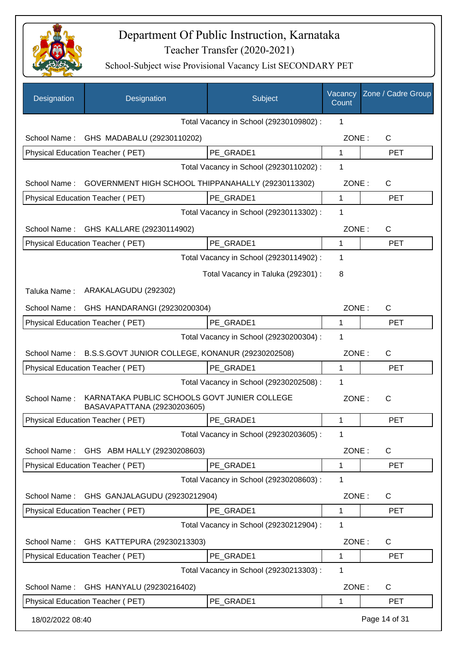

| Designation      | Designation                                                                 | Subject                                 | Vacancy<br>Count | Zone / Cadre Group |
|------------------|-----------------------------------------------------------------------------|-----------------------------------------|------------------|--------------------|
|                  |                                                                             | Total Vacancy in School (29230109802) : | 1                |                    |
| School Name:     | GHS MADABALU (29230110202)                                                  |                                         | ZONE:            | C                  |
|                  | Physical Education Teacher (PET)                                            | PE GRADE1                               | $\mathbf{1}$     | <b>PET</b>         |
|                  |                                                                             | Total Vacancy in School (29230110202) : | 1                |                    |
| School Name:     | GOVERNMENT HIGH SCHOOL THIPPANAHALLY (29230113302)                          |                                         | ZONE:            | C                  |
|                  | Physical Education Teacher (PET)                                            | PE GRADE1                               | 1                | <b>PET</b>         |
|                  |                                                                             | Total Vacancy in School (29230113302) : | 1                |                    |
| School Name:     | GHS KALLARE (29230114902)                                                   |                                         | ZONE:            | $\mathsf{C}$       |
|                  | Physical Education Teacher (PET)                                            | PE GRADE1                               | 1                | <b>PET</b>         |
|                  |                                                                             | Total Vacancy in School (29230114902) : | 1                |                    |
|                  |                                                                             | Total Vacancy in Taluka (292301) :      | 8                |                    |
| Taluka Name:     | ARAKALAGUDU (292302)                                                        |                                         |                  |                    |
| School Name:     | GHS HANDARANGI (29230200304)                                                |                                         | ZONE:            | С                  |
|                  | Physical Education Teacher (PET)                                            | PE GRADE1                               | 1                | <b>PET</b>         |
|                  |                                                                             | Total Vacancy in School (29230200304) : | 1                |                    |
| School Name:     | B.S.S.GOVT JUNIOR COLLEGE, KONANUR (29230202508)                            |                                         | ZONE:            | $\mathsf{C}$       |
|                  | <b>Physical Education Teacher (PET)</b>                                     | PE GRADE1                               | 1                | <b>PET</b>         |
|                  |                                                                             | Total Vacancy in School (29230202508) : | 1                |                    |
| School Name:     | KARNATAKA PUBLIC SCHOOLS GOVT JUNIER COLLEGE<br>BASAVAPATTANA (29230203605) |                                         | ZONE:            | $\mathsf{C}$       |
|                  | Physical Education Teacher (PET)                                            | PE GRADE1                               | 1                | <b>PET</b>         |
|                  |                                                                             | Total Vacancy in School (29230203605) : | 1                |                    |
| School Name:     | GHS ABM HALLY (29230208603)                                                 |                                         | ZONE:            | C                  |
|                  | Physical Education Teacher (PET)                                            | PE GRADE1                               | 1                | <b>PET</b>         |
|                  |                                                                             | Total Vacancy in School (29230208603) : | 1                |                    |
| School Name:     | GHS GANJALAGUDU (29230212904)                                               |                                         | ZONE:            | C                  |
|                  | Physical Education Teacher (PET)                                            | PE_GRADE1                               | 1                | <b>PET</b>         |
|                  |                                                                             | Total Vacancy in School (29230212904) : | 1                |                    |
| School Name:     | GHS KATTEPURA (29230213303)                                                 |                                         | ZONE:            | С                  |
|                  | Physical Education Teacher (PET)                                            | PE_GRADE1                               | 1                | <b>PET</b>         |
|                  |                                                                             | Total Vacancy in School (29230213303) : | 1                |                    |
| School Name:     | GHS HANYALU (29230216402)                                                   |                                         | ZONE:            | C                  |
|                  | Physical Education Teacher (PET)                                            | PE GRADE1                               | 1                | <b>PET</b>         |
| 18/02/2022 08:40 |                                                                             |                                         |                  | Page 14 of 31      |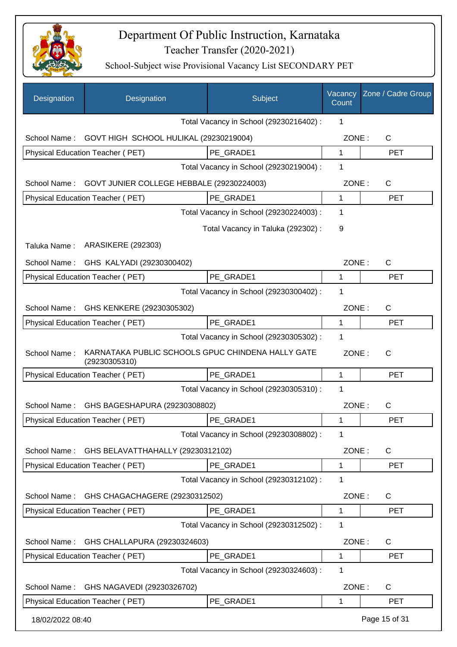

| Designation                               | Designation                                                        | Subject                                 | Vacancy<br>Count | Zone / Cadre Group |
|-------------------------------------------|--------------------------------------------------------------------|-----------------------------------------|------------------|--------------------|
|                                           |                                                                    | Total Vacancy in School (29230216402) : | 1                |                    |
| School Name:                              | GOVT HIGH SCHOOL HULIKAL (29230219004)                             |                                         | ZONE:            | C                  |
|                                           | Physical Education Teacher (PET)                                   | PE GRADE1                               | $\mathbf{1}$     | <b>PET</b>         |
|                                           |                                                                    | Total Vacancy in School (29230219004) : | 1                |                    |
| School Name:                              | GOVT JUNIER COLLEGE HEBBALE (29230224003)                          |                                         | ZONE:            | $\mathsf{C}$       |
|                                           | Physical Education Teacher (PET)                                   | PE GRADE1                               | $\mathbf 1$      | <b>PET</b>         |
|                                           |                                                                    | Total Vacancy in School (29230224003) : | 1                |                    |
|                                           |                                                                    | Total Vacancy in Taluka (292302) :      | 9                |                    |
| Taluka Name:                              | <b>ARASIKERE (292303)</b>                                          |                                         |                  |                    |
| School Name:                              | GHS KALYADI (29230300402)                                          |                                         | ZONE:            | $\mathsf{C}$       |
|                                           | <b>Physical Education Teacher (PET)</b>                            | PE GRADE1                               | 1                | <b>PET</b>         |
|                                           |                                                                    | Total Vacancy in School (29230300402) : | 1                |                    |
| School Name:<br>GHS KENKERE (29230305302) |                                                                    |                                         | ZONE:            | $\mathsf{C}$       |
|                                           | Physical Education Teacher (PET)                                   | PE_GRADE1                               | 1                | <b>PET</b>         |
|                                           |                                                                    | Total Vacancy in School (29230305302) : | 1                |                    |
| School Name:                              | KARNATAKA PUBLIC SCHOOLS GPUC CHINDENA HALLY GATE<br>(29230305310) |                                         | ZONE:            | C                  |
|                                           | Physical Education Teacher (PET)                                   | PE GRADE1                               | 1                | <b>PET</b>         |
|                                           |                                                                    | Total Vacancy in School (29230305310) : | 1                |                    |
| School Name:                              | GHS BAGESHAPURA (29230308802)                                      |                                         | ZONE:            | $\mathsf{C}$       |
|                                           | Physical Education Teacher (PET)                                   | PE GRADE1                               | 1                | <b>PET</b>         |
|                                           |                                                                    | Total Vacancy in School (29230308802) : | 1                |                    |
| School Name:                              | GHS BELAVATTHAHALLY (29230312102)                                  |                                         | ZONE:            | $\mathsf{C}$       |
|                                           | Physical Education Teacher (PET)                                   | PE_GRADE1                               | 1                | <b>PET</b>         |
|                                           |                                                                    | Total Vacancy in School (29230312102) : | 1                |                    |
| School Name:                              | GHS CHAGACHAGERE (29230312502)                                     |                                         | ZONE:            | C                  |
|                                           | Physical Education Teacher (PET)                                   | PE_GRADE1                               | 1                | <b>PET</b>         |
|                                           |                                                                    | Total Vacancy in School (29230312502) : | 1                |                    |
| School Name:                              | GHS CHALLAPURA (29230324603)                                       |                                         | ZONE:            | C                  |
|                                           | Physical Education Teacher (PET)                                   | PE GRADE1                               | 1                | <b>PET</b>         |
|                                           |                                                                    | Total Vacancy in School (29230324603) : | 1                |                    |
| School Name:                              | GHS NAGAVEDI (29230326702)                                         |                                         | ZONE:            | C                  |
|                                           | Physical Education Teacher (PET)                                   | PE_GRADE1                               | 1                | <b>PET</b>         |
| 18/02/2022 08:40                          |                                                                    |                                         |                  | Page 15 of 31      |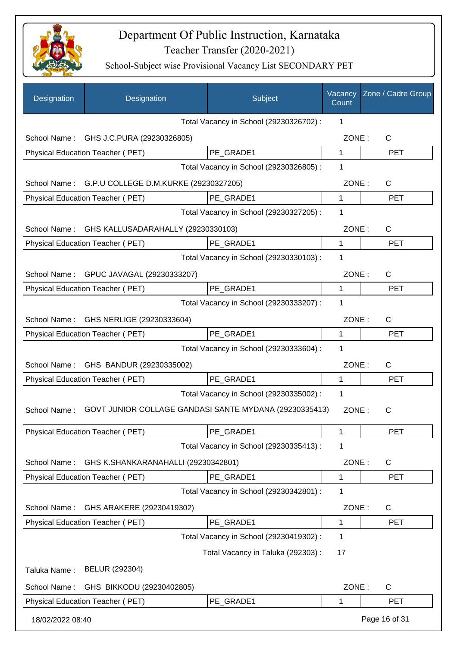

| Designation      | Designation                                            | Subject                                 | Vacancy<br>Count | Zone / Cadre Group |
|------------------|--------------------------------------------------------|-----------------------------------------|------------------|--------------------|
|                  |                                                        | Total Vacancy in School (29230326702) : | 1                |                    |
| School Name:     | GHS J.C.PURA (29230326805)                             |                                         | ZONE:            | $\mathsf{C}$       |
|                  | Physical Education Teacher (PET)                       | PE GRADE1                               | 1                | <b>PET</b>         |
|                  |                                                        | Total Vacancy in School (29230326805) : | 1                |                    |
| School Name:     | G.P.U COLLEGE D.M.KURKE (29230327205)                  |                                         | ZONE:            | $\mathsf{C}$       |
|                  | Physical Education Teacher (PET)                       | PE GRADE1                               | $\mathbf{1}$     | <b>PET</b>         |
|                  |                                                        | Total Vacancy in School (29230327205) : | 1                |                    |
| School Name:     | GHS KALLUSADARAHALLY (29230330103)                     |                                         | ZONE:            | $\mathsf{C}$       |
|                  | Physical Education Teacher (PET)                       | PE GRADE1                               | 1                | <b>PET</b>         |
|                  |                                                        | Total Vacancy in School (29230330103) : | 1                |                    |
| School Name:     | GPUC JAVAGAL (29230333207)                             |                                         | ZONE:            | $\mathsf{C}$       |
|                  | Physical Education Teacher (PET)                       | PE_GRADE1                               | 1                | <b>PET</b>         |
|                  |                                                        | Total Vacancy in School (29230333207) : | 1                |                    |
|                  | School Name: GHS NERLIGE (29230333604)                 |                                         | ZONE:            | $\mathsf{C}$       |
|                  | Physical Education Teacher (PET)                       | PE_GRADE1                               | 1                | <b>PET</b>         |
|                  |                                                        | Total Vacancy in School (29230333604) : | 1                |                    |
|                  | School Name: GHS BANDUR (29230335002)                  |                                         | ZONE:            | $\mathsf{C}$       |
|                  | Physical Education Teacher (PET)                       | PE GRADE1                               | 1                | <b>PET</b>         |
|                  |                                                        | Total Vacancy in School (29230335002) : | 1                |                    |
| School Name:     | GOVT JUNIOR COLLAGE GANDASI SANTE MYDANA (29230335413) |                                         | ZONE:            | C                  |
|                  | Physical Education Teacher (PET)                       | PE_GRADE1                               | 1                | PET                |
|                  |                                                        | Total Vacancy in School (29230335413) : | 1                |                    |
| School Name:     | GHS K.SHANKARANAHALLI (29230342801)                    |                                         | ZONE:            | $\mathsf{C}$       |
|                  | Physical Education Teacher (PET)                       | PE_GRADE1                               | 1                | <b>PET</b>         |
|                  |                                                        | Total Vacancy in School (29230342801) : | 1                |                    |
| School Name:     | GHS ARAKERE (29230419302)                              |                                         | ZONE:            | $\mathsf{C}$       |
|                  | Physical Education Teacher (PET)                       | PE GRADE1                               | 1                | <b>PET</b>         |
|                  |                                                        | Total Vacancy in School (29230419302) : | 1                |                    |
|                  |                                                        | Total Vacancy in Taluka (292303) :      | 17               |                    |
| Taluka Name:     | BELUR (292304)                                         |                                         |                  |                    |
| School Name:     | GHS BIKKODU (29230402805)                              |                                         | ZONE:            | $\mathsf{C}$       |
|                  | Physical Education Teacher (PET)                       | PE_GRADE1                               | 1                | <b>PET</b>         |
| 18/02/2022 08:40 |                                                        |                                         |                  | Page 16 of 31      |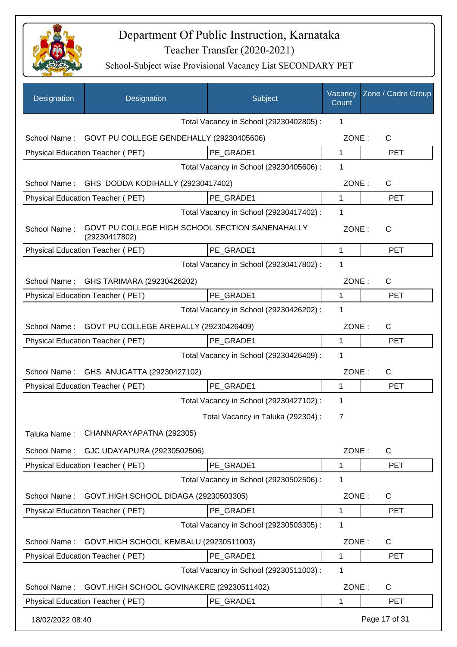

| Designation      | Designation                                                      | Subject                                 | Vacancy<br>Count | Zone / Cadre Group |
|------------------|------------------------------------------------------------------|-----------------------------------------|------------------|--------------------|
|                  |                                                                  | Total Vacancy in School (29230402805) : | 1                |                    |
| School Name:     | GOVT PU COLLEGE GENDEHALLY (29230405606)                         |                                         | ZONE:            | C                  |
|                  | Physical Education Teacher (PET)                                 | PE GRADE1                               | $\mathbf{1}$     | <b>PET</b>         |
|                  |                                                                  | Total Vacancy in School (29230405606) : | 1                |                    |
| School Name:     | GHS DODDA KODIHALLY (29230417402)                                |                                         | ZONE:            | С                  |
|                  | Physical Education Teacher (PET)                                 | PE GRADE1                               | $\mathbf{1}$     | <b>PET</b>         |
|                  |                                                                  | Total Vacancy in School (29230417402) : | 1                |                    |
| School Name:     | GOVT PU COLLEGE HIGH SCHOOL SECTION SANENAHALLY<br>(29230417802) |                                         | ZONE:            | $\mathsf{C}$       |
|                  | Physical Education Teacher (PET)                                 | PE GRADE1                               | 1                | <b>PET</b>         |
|                  |                                                                  | Total Vacancy in School (29230417802) : | 1                |                    |
| School Name:     | GHS TARIMARA (29230426202)                                       |                                         | ZONE:            | $\mathsf{C}$       |
|                  | Physical Education Teacher (PET)                                 | PE GRADE1                               | $\mathbf{1}$     | <b>PET</b>         |
|                  |                                                                  | Total Vacancy in School (29230426202) : | 1                |                    |
| School Name:     | GOVT PU COLLEGE AREHALLY (29230426409)                           |                                         | ZONE:            | С                  |
|                  | Physical Education Teacher (PET)                                 | PE GRADE1                               | 1                | <b>PET</b>         |
|                  |                                                                  | Total Vacancy in School (29230426409) : | 1                |                    |
| School Name:     | GHS ANUGATTA (29230427102)                                       |                                         | ZONE:            | С                  |
|                  | Physical Education Teacher (PET)                                 | PE GRADE1                               | 1                | <b>PET</b>         |
|                  |                                                                  | Total Vacancy in School (29230427102) : | 1                |                    |
|                  |                                                                  | Total Vacancy in Taluka (292304) :      | 7                |                    |
| Taluka Name:     | CHANNARAYAPATNA (292305)                                         |                                         |                  |                    |
| School Name:     | GJC UDAYAPURA (29230502506)                                      |                                         | ZONE:            | C                  |
|                  | Physical Education Teacher (PET)                                 | PE_GRADE1                               | 1                | <b>PET</b>         |
|                  |                                                                  | Total Vacancy in School (29230502506) : | 1                |                    |
| School Name:     | GOVT.HIGH SCHOOL DIDAGA (29230503305)                            |                                         | ZONE:            | C                  |
|                  | <b>Physical Education Teacher (PET)</b>                          | PE GRADE1                               | 1                | <b>PET</b>         |
|                  |                                                                  | Total Vacancy in School (29230503305) : | 1                |                    |
| School Name:     | GOVT.HIGH SCHOOL KEMBALU (29230511003)                           |                                         | ZONE:            | C                  |
|                  | Physical Education Teacher (PET)                                 | PE_GRADE1                               | 1                | <b>PET</b>         |
|                  |                                                                  | Total Vacancy in School (29230511003):  | 1                |                    |
| School Name:     | GOVT.HIGH SCHOOL GOVINAKERE (29230511402)                        |                                         | ZONE:            | C                  |
|                  | Physical Education Teacher (PET)                                 | PE_GRADE1                               | 1                | <b>PET</b>         |
| 18/02/2022 08:40 |                                                                  |                                         |                  | Page 17 of 31      |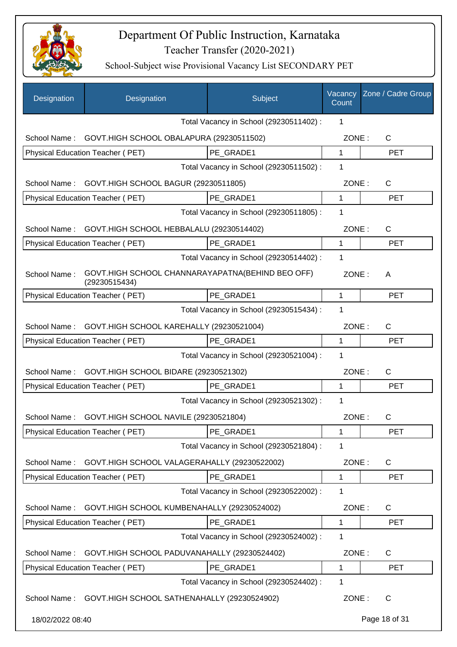

| Designation      | Designation                                                       | Subject                                 | Vacancy<br>Count | Zone / Cadre Group |
|------------------|-------------------------------------------------------------------|-----------------------------------------|------------------|--------------------|
|                  |                                                                   | Total Vacancy in School (29230511402) : | 1                |                    |
| School Name:     | GOVT.HIGH SCHOOL OBALAPURA (29230511502)                          |                                         | ZONE:            | $\mathsf{C}$       |
|                  | Physical Education Teacher (PET)                                  | PE_GRADE1                               | $\mathbf 1$      | <b>PET</b>         |
|                  |                                                                   | Total Vacancy in School (29230511502) : | 1                |                    |
| School Name:     | GOVT.HIGH SCHOOL BAGUR (29230511805)                              |                                         | ZONE:            | $\mathsf{C}$       |
|                  | Physical Education Teacher (PET)                                  | PE GRADE1                               | 1                | <b>PET</b>         |
|                  |                                                                   | Total Vacancy in School (29230511805) : | 1                |                    |
| School Name:     | GOVT.HIGH SCHOOL HEBBALALU (29230514402)                          |                                         | ZONE:            | $\mathsf{C}$       |
|                  | Physical Education Teacher (PET)                                  | PE_GRADE1                               | 1                | <b>PET</b>         |
|                  |                                                                   | Total Vacancy in School (29230514402) : | 1                |                    |
| School Name:     | GOVT.HIGH SCHOOL CHANNARAYAPATNA(BEHIND BEO OFF)<br>(29230515434) |                                         | ZONE:            | A                  |
|                  | Physical Education Teacher (PET)                                  | PE_GRADE1                               | 1                | <b>PET</b>         |
|                  |                                                                   | Total Vacancy in School (29230515434) : | 1                |                    |
| School Name:     | GOVT.HIGH SCHOOL KAREHALLY (29230521004)                          |                                         | ZONE:            | $\mathsf{C}$       |
|                  | Physical Education Teacher (PET)                                  | PE GRADE1                               | 1                | <b>PET</b>         |
|                  |                                                                   | Total Vacancy in School (29230521004) : | 1                |                    |
| School Name:     | GOVT.HIGH SCHOOL BIDARE (29230521302)                             |                                         | ZONE:            | $\mathsf{C}$       |
|                  | Physical Education Teacher (PET)                                  | PE_GRADE1                               | 1                | <b>PET</b>         |
|                  |                                                                   | Total Vacancy in School (29230521302) : | 1                |                    |
| School Name:     | GOVT.HIGH SCHOOL NAVILE (29230521804)                             |                                         | ZONE:            | С                  |
|                  | Physical Education Teacher (PET)                                  | PE GRADE1                               | 1                | <b>PET</b>         |
|                  |                                                                   | Total Vacancy in School (29230521804) : | 1                |                    |
| School Name:     | GOVT.HIGH SCHOOL VALAGERAHALLY (29230522002)                      |                                         | ZONE:            | C                  |
|                  | Physical Education Teacher (PET)                                  | PE GRADE1                               | 1                | <b>PET</b>         |
|                  |                                                                   | Total Vacancy in School (29230522002) : | 1                |                    |
| School Name:     | GOVT.HIGH SCHOOL KUMBENAHALLY (29230524002)                       |                                         | ZONE:            | C                  |
|                  | Physical Education Teacher (PET)                                  | PE GRADE1                               | 1                | <b>PET</b>         |
|                  |                                                                   | Total Vacancy in School (29230524002) : | 1                |                    |
| School Name:     | GOVT.HIGH SCHOOL PADUVANAHALLY (29230524402)                      |                                         | ZONE:            | C                  |
|                  | Physical Education Teacher (PET)                                  | PE_GRADE1                               | 1                | <b>PET</b>         |
|                  |                                                                   | Total Vacancy in School (29230524402) : | 1                |                    |
|                  | School Name: GOVT.HIGH SCHOOL SATHENAHALLY (29230524902)          |                                         | ZONE:            | C                  |
| 18/02/2022 08:40 |                                                                   |                                         |                  | Page 18 of 31      |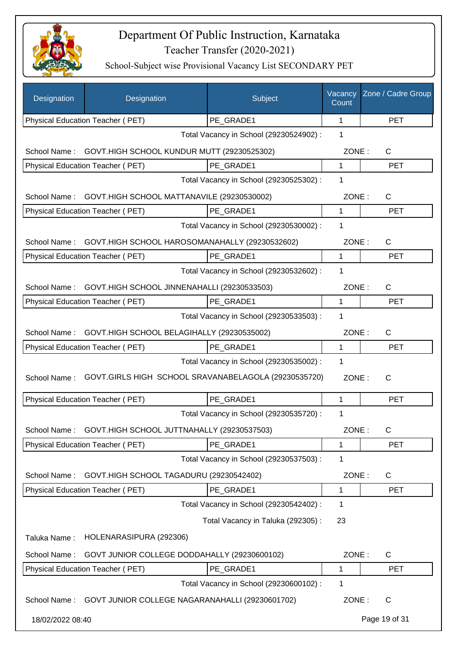

| Designation      | Designation                                          | Subject                                 | Vacancy<br>Count | Zone / Cadre Group |
|------------------|------------------------------------------------------|-----------------------------------------|------------------|--------------------|
|                  | Physical Education Teacher (PET)                     | PE_GRADE1                               | 1                | <b>PET</b>         |
|                  |                                                      | Total Vacancy in School (29230524902) : | 1                |                    |
| School Name:     | GOVT.HIGH SCHOOL KUNDUR MUTT (29230525302)           |                                         | ZONE:            | C                  |
|                  | Physical Education Teacher (PET)                     | PE GRADE1                               | 1                | <b>PET</b>         |
|                  |                                                      | Total Vacancy in School (29230525302) : | 1                |                    |
| School Name:     | GOVT.HIGH SCHOOL MATTANAVILE (29230530002)           |                                         | ZONE:            | $\mathsf{C}$       |
|                  | Physical Education Teacher (PET)                     | PE_GRADE1                               | 1                | <b>PET</b>         |
|                  |                                                      | Total Vacancy in School (29230530002) : | 1                |                    |
| School Name:     | GOVT.HIGH SCHOOL HAROSOMANAHALLY (29230532602)       |                                         | ZONE:            | C                  |
|                  | <b>Physical Education Teacher (PET)</b>              | PE GRADE1                               | $\mathbf{1}$     | <b>PET</b>         |
|                  |                                                      | Total Vacancy in School (29230532602) : | 1                |                    |
| School Name:     | GOVT.HIGH SCHOOL JINNENAHALLI (29230533503)          |                                         | ZONE:            | $\mathsf{C}$       |
|                  | Physical Education Teacher (PET)                     | PE GRADE1                               | $\mathbf{1}$     | <b>PET</b>         |
|                  |                                                      | Total Vacancy in School (29230533503) : | 1                |                    |
| School Name:     | GOVT.HIGH SCHOOL BELAGIHALLY (29230535002)           |                                         | ZONE:            | $\mathsf{C}$       |
|                  | Physical Education Teacher (PET)                     | PE GRADE1                               | 1                | <b>PET</b>         |
|                  |                                                      | Total Vacancy in School (29230535002) : | 1                |                    |
| School Name:     | GOVT.GIRLS HIGH SCHOOL SRAVANABELAGOLA (29230535720) |                                         | ZONE:            | C                  |
|                  | Physical Education Teacher (PET)                     | PE_GRADE1                               | 1                | <b>PET</b>         |
|                  |                                                      | Total Vacancy in School (29230535720) : | 1                |                    |
| School Name:     | GOVT.HIGH SCHOOL JUTTNAHALLY (29230537503)           |                                         | ZONE:            | $\mathsf C$        |
|                  | Physical Education Teacher (PET)                     | PE_GRADE1                               | 1                | <b>PET</b>         |
|                  |                                                      | Total Vacancy in School (29230537503) : | 1                |                    |
| School Name:     | GOVT.HIGH SCHOOL TAGADURU (29230542402)              |                                         | ZONE:            | C                  |
|                  | Physical Education Teacher (PET)                     | PE_GRADE1                               | 1                | <b>PET</b>         |
|                  |                                                      | Total Vacancy in School (29230542402) : | 1                |                    |
|                  |                                                      | Total Vacancy in Taluka (292305):       | 23               |                    |
| Taluka Name:     | HOLENARASIPURA (292306)                              |                                         |                  |                    |
| School Name:     | GOVT JUNIOR COLLEGE DODDAHALLY (29230600102)         |                                         | ZONE:            | $\mathsf{C}$       |
|                  | Physical Education Teacher (PET)                     | PE GRADE1                               | 1                | <b>PET</b>         |
|                  |                                                      | Total Vacancy in School (29230600102) : | 1                |                    |
| School Name:     | GOVT JUNIOR COLLEGE NAGARANAHALLI (29230601702)      |                                         | ZONE:            | $\mathsf{C}$       |
| 18/02/2022 08:40 |                                                      |                                         |                  | Page 19 of 31      |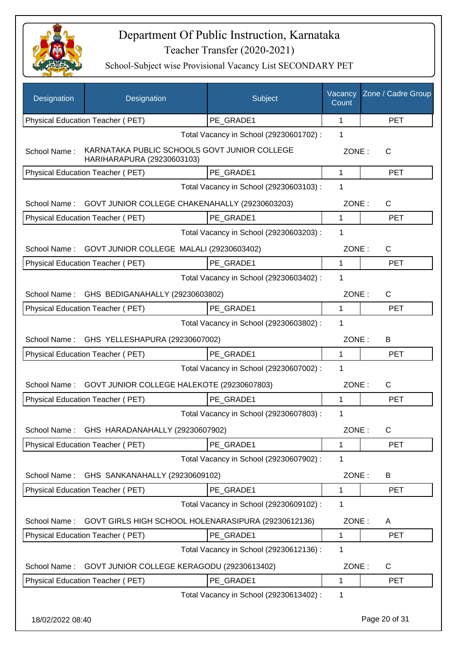

| Designation      | Designation                                                                | Subject                                 | Vacancy<br>Count | Zone / Cadre Group |
|------------------|----------------------------------------------------------------------------|-----------------------------------------|------------------|--------------------|
|                  | Physical Education Teacher (PET)                                           | PE GRADE1                               | 1                | <b>PET</b>         |
|                  |                                                                            | Total Vacancy in School (29230601702) : | 1                |                    |
| School Name:     | KARNATAKA PUBLIC SCHOOLS GOVT JUNIOR COLLEGE<br>HARIHARAPURA (29230603103) |                                         | ZONE:            | C                  |
|                  | Physical Education Teacher (PET)                                           | PE GRADE1                               | $\mathbf{1}$     | <b>PET</b>         |
|                  |                                                                            | Total Vacancy in School (29230603103) : | 1                |                    |
|                  | School Name: GOVT JUNIOR COLLEGE CHAKENAHALLY (29230603203)                |                                         | ZONE:            | $\mathsf{C}$       |
|                  | Physical Education Teacher (PET)                                           | PE GRADE1                               | 1                | <b>PET</b>         |
|                  |                                                                            | Total Vacancy in School (29230603203) : | 1                |                    |
| School Name:     | GOVT JUNIOR COLLEGE MALALI (29230603402)                                   |                                         | ZONE:            | C                  |
|                  | <b>Physical Education Teacher (PET)</b>                                    | PE GRADE1                               | $\mathbf{1}$     | <b>PET</b>         |
|                  |                                                                            | Total Vacancy in School (29230603402) : | 1                |                    |
|                  | School Name: GHS BEDIGANAHALLY (29230603802)                               |                                         | ZONE:            | $\mathsf{C}$       |
|                  | Physical Education Teacher (PET)                                           | PE GRADE1                               | $\mathbf{1}$     | <b>PET</b>         |
|                  |                                                                            | Total Vacancy in School (29230603802) : | 1                |                    |
| School Name:     | GHS YELLESHAPURA (29230607002)                                             |                                         | ZONE:            | В                  |
|                  | Physical Education Teacher (PET)                                           | PE GRADE1                               | 1                | <b>PET</b>         |
|                  |                                                                            | Total Vacancy in School (29230607002) : | 1                |                    |
| School Name:     | GOVT JUNIOR COLLEGE HALEKOTE (29230607803)                                 |                                         | ZONE:            | $\mathsf{C}$       |
|                  | Physical Education Teacher (PET)                                           | PE GRADE1                               | 1                | <b>PET</b>         |
|                  |                                                                            | Total Vacancy in School (29230607803) : | 1                |                    |
| School Name:     | GHS HARADANAHALLY (29230607902)                                            |                                         | ZONE:            | C                  |
|                  | Physical Education Teacher (PET)                                           | PE GRADE1                               | 1                | <b>PET</b>         |
|                  |                                                                            | Total Vacancy in School (29230607902) : | 1                |                    |
| School Name:     | GHS SANKANAHALLY (29230609102)                                             |                                         | ZONE:            | B                  |
|                  | Physical Education Teacher (PET)                                           | PE_GRADE1                               | $\mathbf 1$      | <b>PET</b>         |
|                  |                                                                            | Total Vacancy in School (29230609102) : | 1                |                    |
| School Name:     | GOVT GIRLS HIGH SCHOOL HOLENARASIPURA (29230612136)                        |                                         | ZONE:            | A                  |
|                  | Physical Education Teacher (PET)                                           | PE GRADE1                               | $\mathbf{1}$     | <b>PET</b>         |
|                  |                                                                            | Total Vacancy in School (29230612136) : | 1                |                    |
| School Name:     | GOVT JUNIOR COLLEGE KERAGODU (29230613402)                                 |                                         | ZONE:            | C                  |
|                  | Physical Education Teacher (PET)                                           | PE_GRADE1                               | 1                | <b>PET</b>         |
|                  |                                                                            | Total Vacancy in School (29230613402) : | 1                |                    |
| 18/02/2022 08:40 |                                                                            |                                         |                  | Page 20 of 31      |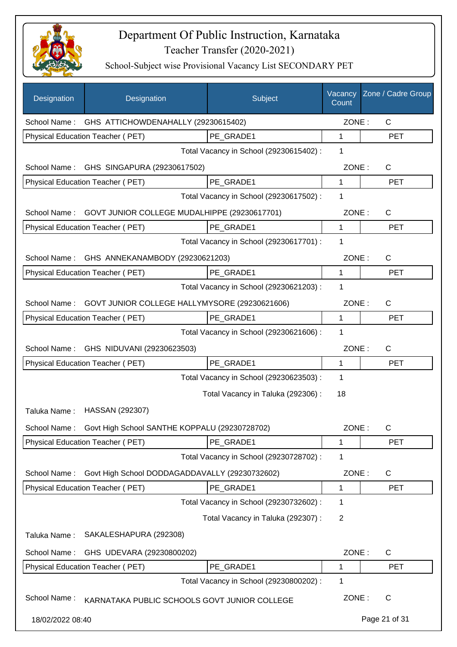

| Designation      | Designation                                               | Subject                                 | Vacancy<br>Count | Zone / Cadre Group |
|------------------|-----------------------------------------------------------|-----------------------------------------|------------------|--------------------|
|                  | School Name: GHS ATTICHOWDENAHALLY (29230615402)          |                                         | ZONE:            | $\mathsf{C}$       |
|                  | Physical Education Teacher (PET)                          | PE GRADE1                               | 1                | <b>PET</b>         |
|                  |                                                           | Total Vacancy in School (29230615402) : | 1                |                    |
|                  | School Name: GHS SINGAPURA (29230617502)                  |                                         | ZONE:            | $\mathsf{C}$       |
|                  | Physical Education Teacher (PET)                          | PE GRADE1                               | 1                | <b>PET</b>         |
|                  |                                                           | Total Vacancy in School (29230617502) : | 1                |                    |
|                  | School Name: GOVT JUNIOR COLLEGE MUDALHIPPE (29230617701) |                                         | ZONE:            | $\mathsf{C}$       |
|                  | Physical Education Teacher (PET)                          | PE GRADE1                               | 1                | <b>PET</b>         |
|                  |                                                           | Total Vacancy in School (29230617701) : | 1                |                    |
|                  | School Name: GHS ANNEKANAMBODY (29230621203)              |                                         | ZONE:            | $\mathsf{C}$       |
|                  | <b>Physical Education Teacher (PET)</b>                   | PE GRADE1                               | $\mathbf{1}$     | <b>PET</b>         |
|                  |                                                           | Total Vacancy in School (29230621203) : | 1                |                    |
| School Name:     | GOVT JUNIOR COLLEGE HALLYMYSORE (29230621606)             |                                         | ZONE:            | $\mathsf{C}$       |
|                  | Physical Education Teacher (PET)                          | PE_GRADE1                               | $\mathbf 1$      | <b>PET</b>         |
|                  |                                                           | Total Vacancy in School (29230621606) : | 1                |                    |
| School Name:     | GHS NIDUVANI (29230623503)                                |                                         | ZONE:            | $\mathsf{C}$       |
|                  | Physical Education Teacher (PET)                          | PE_GRADE1                               | 1                | <b>PET</b>         |
|                  |                                                           | Total Vacancy in School (29230623503) : | $\mathbf 1$      |                    |
|                  |                                                           | Total Vacancy in Taluka (292306) :      | 18               |                    |
| Taluka Name:     | HASSAN (292307)                                           |                                         |                  |                    |
| School Name:     | Govt High School SANTHE KOPPALU (29230728702)             |                                         | ZONE:            | $\mathsf C$        |
|                  | Physical Education Teacher (PET)                          | PE_GRADE1                               | 1                | PET                |
|                  |                                                           | Total Vacancy in School (29230728702) : | 1                |                    |
| School Name:     | Govt High School DODDAGADDAVALLY (29230732602)            |                                         | ZONE:            | C                  |
|                  | Physical Education Teacher (PET)                          | PE_GRADE1                               | 1                | <b>PET</b>         |
|                  |                                                           | Total Vacancy in School (29230732602) : | $\mathbf 1$      |                    |
|                  |                                                           | Total Vacancy in Taluka (292307) :      | $\overline{2}$   |                    |
| Taluka Name:     | SAKALESHAPURA (292308)                                    |                                         |                  |                    |
| School Name:     | GHS UDEVARA (29230800202)                                 |                                         | ZONE:            | C                  |
|                  | Physical Education Teacher (PET)                          | PE_GRADE1                               | 1                | PET                |
|                  |                                                           | Total Vacancy in School (29230800202) : | 1                |                    |
| School Name:     | KARNATAKA PUBLIC SCHOOLS GOVT JUNIOR COLLEGE              |                                         | ZONE:            | C                  |
| 18/02/2022 08:40 |                                                           |                                         |                  | Page 21 of 31      |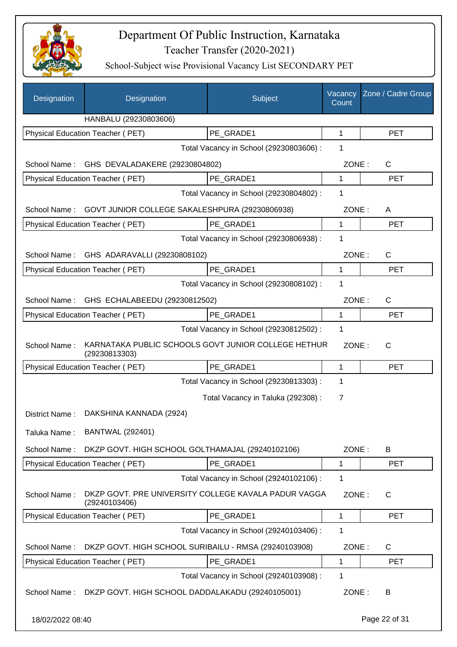

| Designation      | Designation                                                           | Subject                                 | Vacancy<br>Count | Zone / Cadre Group |
|------------------|-----------------------------------------------------------------------|-----------------------------------------|------------------|--------------------|
|                  | HANBALU (29230803606)                                                 |                                         |                  |                    |
|                  | <b>Physical Education Teacher (PET)</b>                               | PE_GRADE1                               | 1                | <b>PET</b>         |
|                  |                                                                       | Total Vacancy in School (29230803606) : | 1                |                    |
| School Name:     | GHS DEVALADAKERE (29230804802)                                        |                                         | ZONE:            | C                  |
|                  | Physical Education Teacher (PET)                                      | PE_GRADE1                               | 1                | <b>PET</b>         |
|                  |                                                                       | Total Vacancy in School (29230804802) : | 1                |                    |
| School Name:     | GOVT JUNIOR COLLEGE SAKALESHPURA (29230806938)                        |                                         | ZONE:            | A                  |
|                  | Physical Education Teacher (PET)                                      | PE GRADE1                               | 1                | <b>PET</b>         |
|                  |                                                                       | Total Vacancy in School (29230806938) : | 1                |                    |
|                  | School Name: GHS ADARAVALLI (29230808102)                             |                                         | ZONE:            | $\mathsf{C}$       |
|                  | Physical Education Teacher (PET)                                      | PE GRADE1                               | 1                | <b>PET</b>         |
|                  |                                                                       | Total Vacancy in School (29230808102) : | 1                |                    |
| School Name:     | GHS ECHALABEEDU (29230812502)                                         |                                         | ZONE:            | C                  |
|                  | Physical Education Teacher (PET)                                      | PE_GRADE1                               | $\mathbf 1$      | <b>PET</b>         |
|                  |                                                                       | Total Vacancy in School (29230812502) : | $\mathbf 1$      |                    |
| School Name:     | KARNATAKA PUBLIC SCHOOLS GOVT JUNIOR COLLEGE HETHUR<br>(29230813303)  |                                         | ZONE:            | C                  |
|                  | Physical Education Teacher (PET)                                      | PE GRADE1                               | 1                | <b>PET</b>         |
|                  |                                                                       | Total Vacancy in School (29230813303) : | 1                |                    |
|                  |                                                                       | Total Vacancy in Taluka (292308) :      | 7                |                    |
| District Name:   | DAKSHINA KANNADA (2924)                                               |                                         |                  |                    |
| Taluka Name:     | <b>BANTWAL (292401)</b>                                               |                                         |                  |                    |
| School Name:     | DKZP GOVT. HIGH SCHOOL GOLTHAMAJAL (29240102106)                      |                                         | ZONE:            | B                  |
|                  | Physical Education Teacher (PET)                                      | PE GRADE1                               | 1                | <b>PET</b>         |
|                  |                                                                       | Total Vacancy in School (29240102106) : | 1                |                    |
| School Name:     | DKZP GOVT. PRE UNIVERSITY COLLEGE KAVALA PADUR VAGGA<br>(29240103406) |                                         | ZONE:            | $\mathsf{C}$       |
|                  | Physical Education Teacher (PET)                                      | PE_GRADE1                               | 1                | <b>PET</b>         |
|                  |                                                                       | Total Vacancy in School (29240103406) : | 1                |                    |
| School Name:     | DKZP GOVT. HIGH SCHOOL SURIBAILU - RMSA (29240103908)                 |                                         | ZONE:            | C                  |
|                  | Physical Education Teacher (PET)                                      | PE_GRADE1                               | 1                | <b>PET</b>         |
|                  |                                                                       | Total Vacancy in School (29240103908) : | 1                |                    |
| School Name:     | DKZP GOVT. HIGH SCHOOL DADDALAKADU (29240105001)                      |                                         | ZONE:            | B                  |
| 18/02/2022 08:40 |                                                                       |                                         |                  | Page 22 of 31      |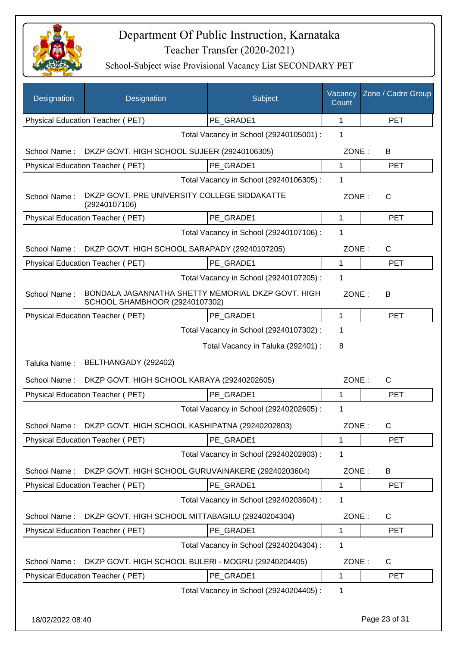

School-Subject wise Provisional Vacancy List SECONDARY PET

| Designation  | Designation                                                                          | Subject                                 | Vacancy<br>Count | Zone / Cadre Group |
|--------------|--------------------------------------------------------------------------------------|-----------------------------------------|------------------|--------------------|
|              | Physical Education Teacher (PET)                                                     | PE_GRADE1                               | 1                | <b>PET</b>         |
|              |                                                                                      | Total Vacancy in School (29240105001) : | 1                |                    |
| School Name: | DKZP GOVT. HIGH SCHOOL SUJEER (29240106305)                                          |                                         | ZONE:            | В                  |
|              | Physical Education Teacher (PET)                                                     | PE GRADE1                               | 1                | <b>PET</b>         |
|              |                                                                                      | Total Vacancy in School (29240106305) : | 1                |                    |
| School Name: | DKZP GOVT. PRE UNIVERSITY COLLEGE SIDDAKATTE<br>(29240107106)                        |                                         | ZONE:            | $\mathsf{C}$       |
|              | Physical Education Teacher (PET)                                                     | PE GRADE1                               | $\mathbf{1}$     | <b>PET</b>         |
|              |                                                                                      | Total Vacancy in School (29240107106) : | 1                |                    |
| School Name: | DKZP GOVT. HIGH SCHOOL SARAPADY (29240107205)                                        |                                         | ZONE:            | C                  |
|              | Physical Education Teacher (PET)                                                     | PE GRADE1                               | $\mathbf{1}$     | <b>PET</b>         |
|              |                                                                                      | Total Vacancy in School (29240107205) : | 1                |                    |
| School Name: | BONDALA JAGANNATHA SHETTY MEMORIAL DKZP GOVT. HIGH<br>SCHOOL SHAMBHOOR (29240107302) |                                         | ZONE:            | В                  |
|              | Physical Education Teacher (PET)                                                     | PE GRADE1                               | 1                | <b>PET</b>         |
|              |                                                                                      | Total Vacancy in School (29240107302) : | 1                |                    |
|              |                                                                                      | Total Vacancy in Taluka (292401) :      | 8                |                    |
| Taluka Name: | BELTHANGADY (292402)                                                                 |                                         |                  |                    |
| School Name: | DKZP GOVT. HIGH SCHOOL KARAYA (29240202605)                                          |                                         | ZONE:            | $\mathsf{C}$       |
|              | <b>Physical Education Teacher (PET)</b>                                              | PE GRADE1                               | 1                | <b>PET</b>         |
|              |                                                                                      | Total Vacancy in School (29240202605) : | 1                |                    |
|              | School Name: DKZP GOVT. HIGH SCHOOL KASHIPATNA (29240202803)                         |                                         | ZONE:            | С                  |
|              | Physical Education Teacher (PET)                                                     | PE GRADE1                               | 1                | <b>PET</b>         |
|              |                                                                                      | Total Vacancy in School (29240202803) : | 1                |                    |
| School Name: | DKZP GOVT. HIGH SCHOOL GURUVAINAKERE (29240203604)                                   |                                         | ZONE:            | В                  |
|              | Physical Education Teacher (PET)                                                     | PE GRADE1                               | $\mathbf 1$      | <b>PET</b>         |
|              |                                                                                      | Total Vacancy in School (29240203604) : | 1                |                    |
| School Name: | DKZP GOVT. HIGH SCHOOL MITTABAGILU (29240204304)                                     |                                         | ZONE:            | C                  |
|              | Physical Education Teacher (PET)                                                     | PE GRADE1                               | 1                | <b>PET</b>         |
|              |                                                                                      | Total Vacancy in School (29240204304) : | 1                |                    |
| School Name: | DKZP GOVT. HIGH SCHOOL BULERI - MOGRU (29240204405)                                  |                                         | ZONE:            | C                  |
|              | Physical Education Teacher (PET)                                                     | PE_GRADE1                               | 1                | <b>PET</b>         |
|              |                                                                                      | Total Vacancy in School (29240204405) : | 1                |                    |

18/02/2022 08:40 Page 23 of 31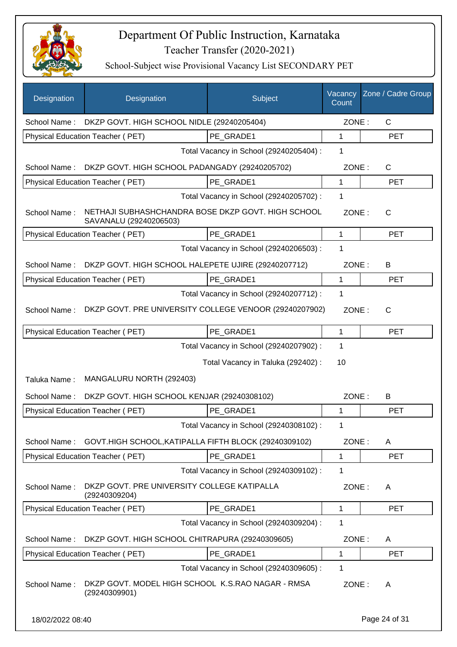

| Designation      | Designation                                                                  | Subject                                 | Vacancy<br>Count | Zone / Cadre Group |
|------------------|------------------------------------------------------------------------------|-----------------------------------------|------------------|--------------------|
| School Name:     | DKZP GOVT. HIGH SCHOOL NIDLE (29240205404)                                   |                                         | ZONE:            | $\mathsf{C}$       |
|                  | Physical Education Teacher (PET)                                             | PE GRADE1                               | 1                | <b>PET</b>         |
|                  |                                                                              | Total Vacancy in School (29240205404) : | 1                |                    |
| School Name:     | DKZP GOVT. HIGH SCHOOL PADANGADY (29240205702)                               |                                         | ZONE:            | C                  |
|                  | Physical Education Teacher (PET)                                             | PE GRADE1                               | 1                | <b>PET</b>         |
|                  |                                                                              | Total Vacancy in School (29240205702) : | 1                |                    |
| School Name:     | NETHAJI SUBHASHCHANDRA BOSE DKZP GOVT. HIGH SCHOOL<br>SAVANALU (29240206503) |                                         | ZONE:            | $\mathsf{C}$       |
|                  | Physical Education Teacher (PET)                                             | PE GRADE1                               | 1                | <b>PET</b>         |
|                  |                                                                              | Total Vacancy in School (29240206503) : | 1                |                    |
| School Name:     | DKZP GOVT. HIGH SCHOOL HALEPETE UJIRE (29240207712)                          |                                         | ZONE:            | B                  |
|                  | Physical Education Teacher (PET)                                             | PE GRADE1                               | 1                | <b>PET</b>         |
|                  |                                                                              | Total Vacancy in School (29240207712) : | 1                |                    |
| School Name:     | DKZP GOVT. PRE UNIVERSITY COLLEGE VENOOR (29240207902)                       |                                         | ZONE:            | $\mathsf{C}$       |
|                  | Physical Education Teacher (PET)                                             | PE_GRADE1                               | 1                | <b>PET</b>         |
|                  |                                                                              | Total Vacancy in School (29240207902) : | 1                |                    |
|                  |                                                                              | Total Vacancy in Taluka (292402) :      | 10               |                    |
| Taluka Name:     | MANGALURU NORTH (292403)                                                     |                                         |                  |                    |
| School Name:     | DKZP GOVT. HIGH SCHOOL KENJAR (29240308102)                                  |                                         | ZONE:            | B                  |
|                  | Physical Education Teacher (PET)                                             | PE GRADE1                               | 1                | <b>PET</b>         |
|                  |                                                                              | Total Vacancy in School (29240308102) : | 1                |                    |
| School Name:     | GOVT.HIGH SCHOOL, KATIPALLA FIFTH BLOCK (29240309102)                        |                                         | ZONE:            | A                  |
|                  | Physical Education Teacher (PET)                                             | PE_GRADE1                               | 1                | <b>PET</b>         |
|                  |                                                                              | Total Vacancy in School (29240309102) : | 1                |                    |
| School Name:     | DKZP GOVT. PRE UNIVERSITY COLLEGE KATIPALLA<br>(29240309204)                 |                                         | ZONE:            | A                  |
|                  | Physical Education Teacher (PET)                                             | PE GRADE1                               | 1                | <b>PET</b>         |
|                  |                                                                              | Total Vacancy in School (29240309204) : | 1                |                    |
| School Name:     | DKZP GOVT. HIGH SCHOOL CHITRAPURA (29240309605)                              |                                         | ZONE:            | A                  |
|                  | Physical Education Teacher (PET)                                             | PE_GRADE1                               | 1                | <b>PET</b>         |
|                  |                                                                              | Total Vacancy in School (29240309605) : | 1                |                    |
| School Name:     | DKZP GOVT. MODEL HIGH SCHOOL K.S.RAO NAGAR - RMSA<br>(29240309901)           |                                         | ZONE:            | A                  |
| 18/02/2022 08:40 |                                                                              |                                         |                  | Page 24 of 31      |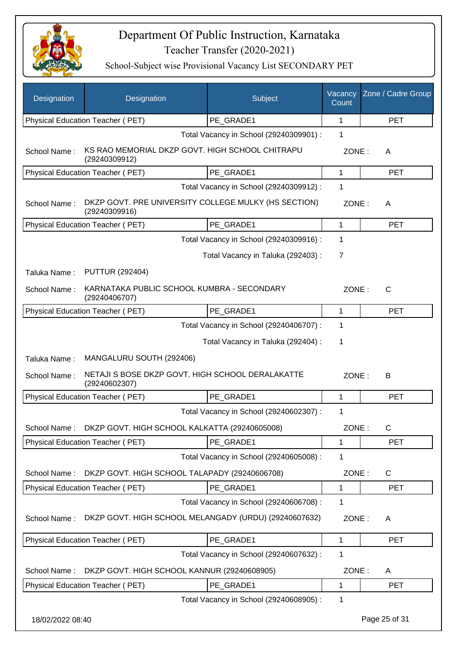

| Designation      | Designation                                                           | Subject                                 | Vacancy<br>Count | Zone / Cadre Group |
|------------------|-----------------------------------------------------------------------|-----------------------------------------|------------------|--------------------|
|                  | Physical Education Teacher (PET)                                      | PE_GRADE1                               | 1                | <b>PET</b>         |
|                  |                                                                       | Total Vacancy in School (29240309901) : | 1                |                    |
| School Name:     | KS RAO MEMORIAL DKZP GOVT. HIGH SCHOOL CHITRAPU<br>(29240309912)      |                                         | ZONE:            | A                  |
|                  | Physical Education Teacher (PET)                                      | PE GRADE1                               | 1                | <b>PET</b>         |
|                  |                                                                       | Total Vacancy in School (29240309912) : | 1                |                    |
| School Name:     | DKZP GOVT. PRE UNIVERSITY COLLEGE MULKY (HS SECTION)<br>(29240309916) |                                         | ZONE:            | A                  |
|                  | Physical Education Teacher (PET)                                      | PE_GRADE1                               | $\mathbf{1}$     | <b>PET</b>         |
|                  |                                                                       | Total Vacancy in School (29240309916) : | 1                |                    |
|                  |                                                                       | Total Vacancy in Taluka (292403) :      | $\overline{7}$   |                    |
| Taluka Name:     | <b>PUTTUR (292404)</b>                                                |                                         |                  |                    |
| School Name:     | KARNATAKA PUBLIC SCHOOL KUMBRA - SECONDARY<br>(29240406707)           |                                         | ZONE:            | C                  |
|                  | Physical Education Teacher (PET)                                      | PE GRADE1                               | 1                | <b>PET</b>         |
|                  |                                                                       | Total Vacancy in School (29240406707) : | 1                |                    |
|                  |                                                                       | Total Vacancy in Taluka (292404) :      | 1                |                    |
| Taluka Name:     | MANGALURU SOUTH (292406)                                              |                                         |                  |                    |
| School Name:     | NETAJI S BOSE DKZP GOVT. HIGH SCHOOL DERALAKATTE<br>(29240602307)     |                                         | ZONE:            | B                  |
|                  | Physical Education Teacher (PET)                                      | PE_GRADE1                               | $\mathbf{1}$     | <b>PET</b>         |
|                  |                                                                       | Total Vacancy in School (29240602307) : | 1                |                    |
| School Name:     | DKZP GOVT. HIGH SCHOOL KALKATTA (29240605008)                         |                                         | ZONE:            | C                  |
|                  | Physical Education Teacher (PET)                                      | PE_GRADE1                               | 1                | <b>PET</b>         |
|                  |                                                                       | Total Vacancy in School (29240605008) : | 1                |                    |
| School Name:     | DKZP GOVT. HIGH SCHOOL TALAPADY (29240606708)                         |                                         | ZONE:            | $\mathsf C$        |
|                  | Physical Education Teacher (PET)                                      | PE GRADE1                               | 1                | <b>PET</b>         |
|                  |                                                                       | Total Vacancy in School (29240606708) : | 1                |                    |
| School Name:     | DKZP GOVT. HIGH SCHOOL MELANGADY (URDU) (29240607632)                 |                                         | ZONE:            | A                  |
|                  | Physical Education Teacher (PET)                                      | PE_GRADE1                               | 1                | <b>PET</b>         |
|                  |                                                                       | Total Vacancy in School (29240607632) : | 1                |                    |
| School Name:     | DKZP GOVT. HIGH SCHOOL KANNUR (29240608905)                           |                                         | ZONE:            | Α                  |
|                  | Physical Education Teacher (PET)                                      | PE_GRADE1                               | 1                | <b>PET</b>         |
|                  |                                                                       | Total Vacancy in School (29240608905) : | 1                |                    |
| 18/02/2022 08:40 |                                                                       |                                         |                  | Page 25 of 31      |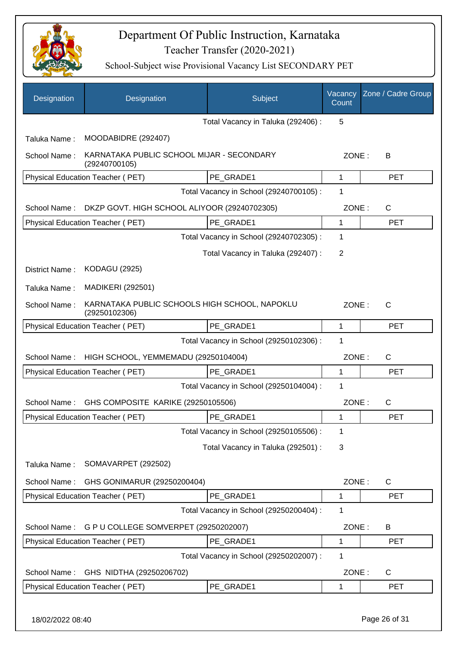

| Designation      | Designation                                                    | Subject                                 | Vacancy<br>Count | Zone / Cadre Group |
|------------------|----------------------------------------------------------------|-----------------------------------------|------------------|--------------------|
|                  |                                                                | Total Vacancy in Taluka (292406) :      | 5                |                    |
| Taluka Name:     | MOODABIDRE (292407)                                            |                                         |                  |                    |
| School Name:     | KARNATAKA PUBLIC SCHOOL MIJAR - SECONDARY<br>(29240700105)     |                                         | ZONE:            | B                  |
|                  | Physical Education Teacher (PET)                               | PE_GRADE1                               | 1                | <b>PET</b>         |
|                  |                                                                | Total Vacancy in School (29240700105) : | 1                |                    |
| School Name:     | DKZP GOVT. HIGH SCHOOL ALIYOOR (29240702305)                   |                                         | ZONE:            | C                  |
|                  | Physical Education Teacher (PET)                               | PE_GRADE1                               | 1                | <b>PET</b>         |
|                  |                                                                | Total Vacancy in School (29240702305) : | 1                |                    |
|                  |                                                                | Total Vacancy in Taluka (292407) :      | 2                |                    |
| District Name:   | <b>KODAGU (2925)</b>                                           |                                         |                  |                    |
| Taluka Name:     | <b>MADIKERI (292501)</b>                                       |                                         |                  |                    |
| School Name:     | KARNATAKA PUBLIC SCHOOLS HIGH SCHOOL, NAPOKLU<br>(29250102306) |                                         | ZONE:            | $\mathsf{C}$       |
|                  | Physical Education Teacher (PET)                               | PE_GRADE1                               | 1                | <b>PET</b>         |
|                  |                                                                | Total Vacancy in School (29250102306) : | 1                |                    |
| School Name:     | HIGH SCHOOL, YEMMEMADU (29250104004)                           |                                         | ZONE:            | $\mathsf{C}$       |
|                  | <b>Physical Education Teacher (PET)</b>                        | PE_GRADE1                               | 1                | <b>PET</b>         |
|                  |                                                                | Total Vacancy in School (29250104004) : | 1                |                    |
| School Name:     | GHS COMPOSITE KARIKE (29250105506)                             |                                         | ZONE:            | C                  |
|                  | Physical Education Teacher (PET)                               | PE_GRADE1                               | 1                | <b>PET</b>         |
|                  |                                                                | Total Vacancy in School (29250105506) : | 1                |                    |
|                  |                                                                | Total Vacancy in Taluka (292501) :      | 3                |                    |
| Taluka Name:     | SOMAVARPET (292502)                                            |                                         |                  |                    |
| School Name:     | GHS GONIMARUR (29250200404)                                    |                                         | ZONE:            | $\mathsf{C}$       |
|                  | Physical Education Teacher (PET)                               | PE GRADE1                               | 1                | <b>PET</b>         |
|                  |                                                                | Total Vacancy in School (29250200404) : | 1                |                    |
| School Name:     | G P U COLLEGE SOMVERPET (29250202007)                          |                                         | ZONE:            | B                  |
|                  | Physical Education Teacher (PET)                               | PE_GRADE1                               | 1                | <b>PET</b>         |
|                  |                                                                | Total Vacancy in School (29250202007) : | 1                |                    |
| School Name:     | GHS NIDTHA (29250206702)                                       |                                         | ZONE:            | C                  |
|                  | Physical Education Teacher (PET)                               | PE_GRADE1                               | 1                | <b>PET</b>         |
| 18/02/2022 08:40 |                                                                |                                         |                  | Page 26 of 31      |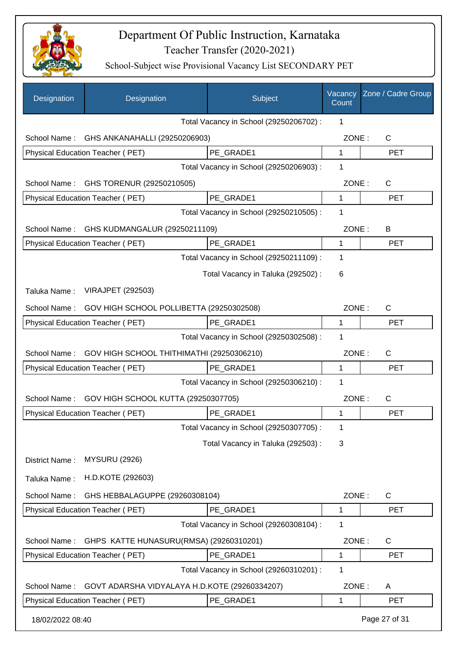

| Designation                                         | Designation                                   | Subject                                 | Vacancy<br>Count | Zone / Cadre Group |
|-----------------------------------------------------|-----------------------------------------------|-----------------------------------------|------------------|--------------------|
|                                                     |                                               | Total Vacancy in School (29250206702) : | 1                |                    |
| School Name:                                        | GHS ANKANAHALLI (29250206903)                 |                                         | ZONE:            | $\mathsf{C}$       |
|                                                     | Physical Education Teacher (PET)              | PE GRADE1                               | $\mathbf{1}$     | <b>PET</b>         |
|                                                     |                                               | Total Vacancy in School (29250206903) : | 1                |                    |
| School Name:                                        | GHS TORENUR (29250210505)                     |                                         | ZONE:            | C                  |
|                                                     | Physical Education Teacher (PET)              | PE_GRADE1                               | 1                | <b>PET</b>         |
|                                                     |                                               | Total Vacancy in School (29250210505) : | $\mathbf 1$      |                    |
| School Name:                                        | GHS KUDMANGALUR (29250211109)                 |                                         | ZONE:            | B                  |
|                                                     | Physical Education Teacher (PET)              | PE_GRADE1                               | 1                | <b>PET</b>         |
|                                                     |                                               | Total Vacancy in School (29250211109) : | $\mathbf 1$      |                    |
|                                                     |                                               | Total Vacancy in Taluka (292502) :      | 6                |                    |
| Taluka Name:                                        | <b>VIRAJPET (292503)</b>                      |                                         |                  |                    |
| School Name:                                        | GOV HIGH SCHOOL POLLIBETTA (29250302508)      |                                         | ZONE:            | C                  |
|                                                     | Physical Education Teacher (PET)              | PE_GRADE1                               | 1                | <b>PET</b>         |
|                                                     |                                               | Total Vacancy in School (29250302508) : | $\mathbf 1$      |                    |
| School Name:                                        | GOV HIGH SCHOOL THITHIMATHI (29250306210)     |                                         | ZONE:            | C                  |
|                                                     | Physical Education Teacher (PET)              | PE GRADE1                               | 1                | <b>PET</b>         |
|                                                     |                                               | Total Vacancy in School (29250306210) : | 1                |                    |
| GOV HIGH SCHOOL KUTTA (29250307705)<br>School Name: |                                               | ZONE:                                   | C                |                    |
|                                                     | Physical Education Teacher (PET)              | PE GRADE1                               | 1                | <b>PET</b>         |
|                                                     |                                               | Total Vacancy in School (29250307705) : | 1                |                    |
|                                                     |                                               | Total Vacancy in Taluka (292503) :      | 3                |                    |
| District Name:                                      | <b>MYSURU (2926)</b>                          |                                         |                  |                    |
| Taluka Name:                                        | H.D.KOTE (292603)                             |                                         |                  |                    |
| School Name:                                        | GHS HEBBALAGUPPE (29260308104)                |                                         | ZONE:            | C                  |
|                                                     | Physical Education Teacher (PET)              | PE GRADE1                               | 1                | <b>PET</b>         |
|                                                     |                                               | Total Vacancy in School (29260308104) : | 1                |                    |
| School Name:                                        | GHPS KATTE HUNASURU(RMSA) (29260310201)       |                                         | ZONE:            | C                  |
|                                                     | Physical Education Teacher (PET)              | PE_GRADE1                               | 1                | <b>PET</b>         |
| Total Vacancy in School (29260310201) :<br>1        |                                               |                                         |                  |                    |
| School Name:                                        | GOVT ADARSHA VIDYALAYA H.D.KOTE (29260334207) |                                         | ZONE:            | A                  |
|                                                     | Physical Education Teacher (PET)              | PE_GRADE1                               | 1                | <b>PET</b>         |
| 18/02/2022 08:40                                    |                                               |                                         |                  | Page 27 of 31      |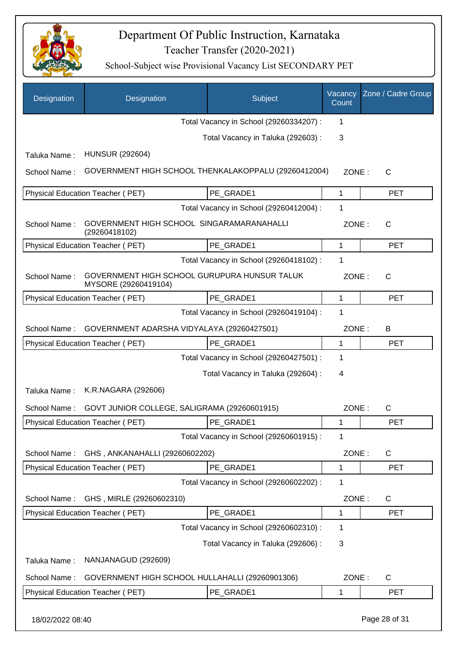

| Designation                                  | Designation                                                          | Subject                                 | Vacancy<br>Count | Zone / Cadre Group |
|----------------------------------------------|----------------------------------------------------------------------|-----------------------------------------|------------------|--------------------|
|                                              |                                                                      | Total Vacancy in School (29260334207) : | 1                |                    |
|                                              |                                                                      | Total Vacancy in Taluka (292603) :      | 3                |                    |
| Taluka Name:                                 | <b>HUNSUR (292604)</b>                                               |                                         |                  |                    |
| School Name:                                 | GOVERNMENT HIGH SCHOOL THENKALAKOPPALU (29260412004)                 |                                         | ZONE:            | $\mathsf{C}$       |
|                                              | Physical Education Teacher (PET)                                     | PE_GRADE1                               | 1                | <b>PET</b>         |
|                                              |                                                                      | Total Vacancy in School (29260412004) : | 1                |                    |
| School Name:                                 | GOVERNMENT HIGH SCHOOL SINGARAMARANAHALLI<br>(29260418102)           |                                         | ZONE:            | $\mathsf{C}$       |
|                                              | Physical Education Teacher (PET)                                     | PE GRADE1                               | 1                | <b>PET</b>         |
|                                              |                                                                      | Total Vacancy in School (29260418102) : | 1                |                    |
| School Name:                                 | GOVERNMENT HIGH SCHOOL GURUPURA HUNSUR TALUK<br>MYSORE (29260419104) |                                         | ZONE:            | $\mathsf{C}$       |
|                                              | Physical Education Teacher (PET)                                     | PE_GRADE1                               | 1                | <b>PET</b>         |
|                                              |                                                                      | Total Vacancy in School (29260419104) : | 1                |                    |
| School Name:                                 | GOVERNMENT ADARSHA VIDYALAYA (29260427501)                           |                                         | ZONE:            | B                  |
|                                              | Physical Education Teacher (PET)                                     | PE_GRADE1                               | 1                | <b>PET</b>         |
| Total Vacancy in School (29260427501) :<br>1 |                                                                      |                                         |                  |                    |
|                                              |                                                                      | Total Vacancy in Taluka (292604) :      | 4                |                    |
| Taluka Name:                                 | K.R.NAGARA (292606)                                                  |                                         |                  |                    |
| School Name:                                 | GOVT JUNIOR COLLEGE, SALIGRAMA (29260601915)                         |                                         | ZONE:            | $\mathsf{C}$       |
|                                              | Physical Education Teacher (PET)                                     | PE_GRADE1                               | 1                | PET                |
|                                              |                                                                      | Total Vacancy in School (29260601915) : | 1                |                    |
| School Name:                                 | GHS, ANKANAHALLI (29260602202)                                       |                                         | ZONE:            | $\mathsf{C}$       |
|                                              | Physical Education Teacher (PET)                                     | PE_GRADE1                               | 1                | <b>PET</b>         |
|                                              |                                                                      | Total Vacancy in School (29260602202) : | 1                |                    |
| School Name:                                 | GHS, MIRLE (29260602310)                                             |                                         | ZONE:            | $\mathsf{C}$       |
|                                              | Physical Education Teacher (PET)                                     | PE_GRADE1                               | 1                | <b>PET</b>         |
|                                              |                                                                      | Total Vacancy in School (29260602310) : | 1                |                    |
|                                              |                                                                      | Total Vacancy in Taluka (292606) :      | 3                |                    |
| Taluka Name:                                 | NANJANAGUD (292609)                                                  |                                         |                  |                    |
| School Name:                                 | GOVERNMENT HIGH SCHOOL HULLAHALLI (29260901306)                      |                                         | ZONE:            | $\mathsf{C}$       |
|                                              | Physical Education Teacher (PET)                                     | PE_GRADE1                               | 1                | <b>PET</b>         |
| 18/02/2022 08:40                             |                                                                      |                                         |                  | Page 28 of 31      |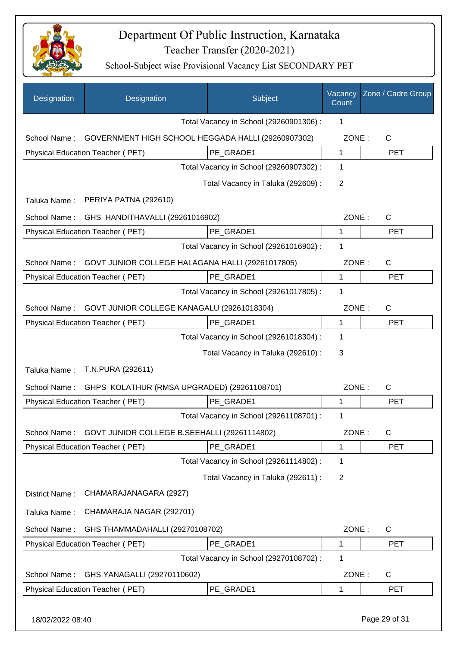

| Designation      | Designation                                        | Subject                                 | Vacancy<br>Count | Zone / Cadre Group |
|------------------|----------------------------------------------------|-----------------------------------------|------------------|--------------------|
|                  |                                                    | Total Vacancy in School (29260901306) : | 1                |                    |
| School Name:     | GOVERNMENT HIGH SCHOOL HEGGADA HALLI (29260907302) |                                         | ZONE:            | C                  |
|                  | Physical Education Teacher (PET)                   | PE GRADE1                               | $\mathbf{1}$     | <b>PET</b>         |
|                  |                                                    | Total Vacancy in School (29260907302) : | 1                |                    |
|                  |                                                    | Total Vacancy in Taluka (292609) :      | 2                |                    |
| Taluka Name:     | PERIYA PATNA (292610)                              |                                         |                  |                    |
| School Name:     | GHS HANDITHAVALLI (29261016902)                    |                                         | ZONE:            | C                  |
|                  | Physical Education Teacher (PET)                   | PE GRADE1                               | 1                | <b>PET</b>         |
|                  |                                                    | Total Vacancy in School (29261016902) : | 1                |                    |
| School Name:     | GOVT JUNIOR COLLEGE HALAGANA HALLI (29261017805)   |                                         | ZONE:            | C                  |
|                  | Physical Education Teacher (PET)                   | PE GRADE1                               | 1                | <b>PET</b>         |
|                  |                                                    | Total Vacancy in School (29261017805) : | 1                |                    |
| School Name:     | GOVT JUNIOR COLLEGE KANAGALU (29261018304)         |                                         | ZONE:            | C                  |
|                  | Physical Education Teacher (PET)                   | PE GRADE1                               | 1                | <b>PET</b>         |
|                  |                                                    | Total Vacancy in School (29261018304) : | 1                |                    |
|                  |                                                    | Total Vacancy in Taluka (292610) :      | 3                |                    |
| Taluka Name:     | T.N.PURA (292611)                                  |                                         |                  |                    |
| School Name:     | GHPS KOLATHUR (RMSA UPGRADED) (29261108701)        |                                         | ZONE:            | C                  |
|                  | Physical Education Teacher (PET)                   | PE GRADE1                               | $\mathbf{1}$     | <b>PET</b>         |
|                  |                                                    | Total Vacancy in School (29261108701) : | 1                |                    |
| School Name:     | GOVT JUNIOR COLLEGE B.SEEHALLI (29261114802)       |                                         | ZONE:            | $\mathsf C$        |
|                  | Physical Education Teacher (PET)                   | PE_GRADE1                               | 1                | <b>PET</b>         |
|                  |                                                    | Total Vacancy in School (29261114802) : | 1                |                    |
|                  |                                                    | Total Vacancy in Taluka (292611) :      | $\overline{2}$   |                    |
| District Name:   | CHAMARAJANAGARA (2927)                             |                                         |                  |                    |
| Taluka Name:     | CHAMARAJA NAGAR (292701)                           |                                         |                  |                    |
| School Name:     | GHS THAMMADAHALLI (29270108702)                    |                                         | ZONE:            | $\mathsf C$        |
|                  | Physical Education Teacher (PET)                   | PE_GRADE1                               | 1                | PET                |
|                  |                                                    | Total Vacancy in School (29270108702) : | 1                |                    |
| School Name:     | GHS YANAGALLI (29270110602)                        |                                         | ZONE:            | $\mathsf C$        |
|                  | Physical Education Teacher (PET)                   | PE_GRADE1                               | 1                | PET                |
|                  |                                                    |                                         |                  |                    |
| 18/02/2022 08:40 |                                                    |                                         |                  | Page 29 of 31      |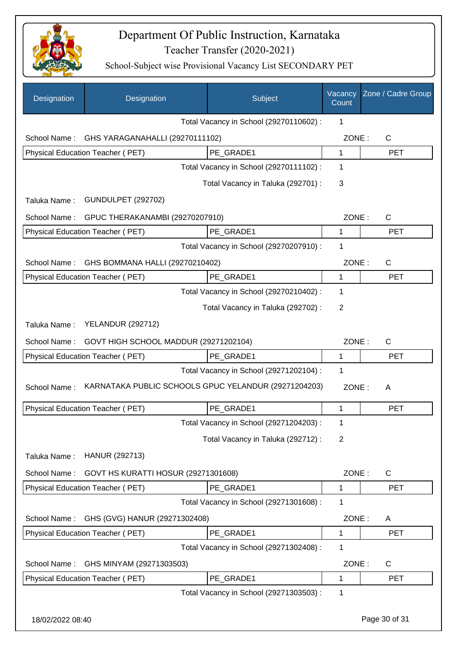

| Designation      | Designation                                   | Subject                                              | Vacancy<br>Count | Zone / Cadre Group |
|------------------|-----------------------------------------------|------------------------------------------------------|------------------|--------------------|
|                  |                                               | Total Vacancy in School (29270110602) :              | $\mathbf 1$      |                    |
| School Name:     | GHS YARAGANAHALLI (29270111102)               |                                                      | ZONE:            | C                  |
|                  | Physical Education Teacher (PET)<br>PE GRADE1 |                                                      |                  | <b>PET</b>         |
|                  |                                               | Total Vacancy in School (29270111102) :              | $\mathbf 1$      |                    |
|                  |                                               | Total Vacancy in Taluka (292701) :                   | 3                |                    |
| Taluka Name:     | <b>GUNDULPET (292702)</b>                     |                                                      |                  |                    |
| School Name:     | GPUC THERAKANAMBI (29270207910)               |                                                      | ZONE:            | $\mathsf{C}$       |
|                  | Physical Education Teacher (PET)              | PE_GRADE1                                            | $\mathbf 1$      | <b>PET</b>         |
|                  |                                               | Total Vacancy in School (29270207910) :              | 1                |                    |
| School Name:     | GHS BOMMANA HALLI (29270210402)               |                                                      | ZONE:            | $\mathsf{C}$       |
|                  | Physical Education Teacher (PET)              | PE_GRADE1                                            | 1                | <b>PET</b>         |
|                  |                                               | Total Vacancy in School (29270210402) :              | 1                |                    |
|                  |                                               | Total Vacancy in Taluka (292702) :                   | 2                |                    |
| Taluka Name:     | <b>YELANDUR (292712)</b>                      |                                                      |                  |                    |
| School Name:     | GOVT HIGH SCHOOL MADDUR (29271202104)         |                                                      | ZONE:            | $\mathsf{C}$       |
|                  | Physical Education Teacher (PET)              | PE GRADE1                                            | 1                | <b>PET</b>         |
|                  |                                               | Total Vacancy in School (29271202104) :              | 1                |                    |
| School Name:     |                                               | KARNATAKA PUBLIC SCHOOLS GPUC YELANDUR (29271204203) | ZONE:            | A                  |
|                  | <b>Physical Education Teacher (PET)</b>       | PE_GRADE1                                            | 1                | <b>PET</b>         |
|                  |                                               | Total Vacancy in School (29271204203) :              | 1                |                    |
|                  |                                               | Total Vacancy in Taluka (292712) :                   | 2                |                    |
| Taluka Name:     | HANUR (292713)                                |                                                      |                  |                    |
| School Name:     | GOVT HS KURATTI HOSUR (29271301608)           |                                                      | ZONE:            | C                  |
|                  | Physical Education Teacher (PET)              | PE GRADE1                                            | 1                | <b>PET</b>         |
|                  |                                               | Total Vacancy in School (29271301608) :              | 1                |                    |
| School Name:     | GHS (GVG) HANUR (29271302408)                 |                                                      | ZONE:            | A                  |
|                  | Physical Education Teacher (PET)              | PE_GRADE1                                            | 1                | <b>PET</b>         |
|                  |                                               | Total Vacancy in School (29271302408) :              | 1                |                    |
| School Name:     | GHS MINYAM (29271303503)                      |                                                      | ZONE:            | C                  |
|                  | Physical Education Teacher (PET)              | PE_GRADE1                                            | 1                | <b>PET</b>         |
|                  |                                               | Total Vacancy in School (29271303503) :              | 1                |                    |
| 18/02/2022 08:40 |                                               |                                                      |                  | Page 30 of 31      |